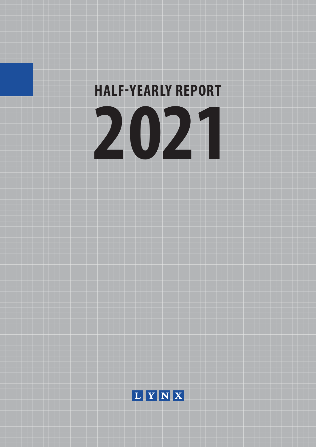

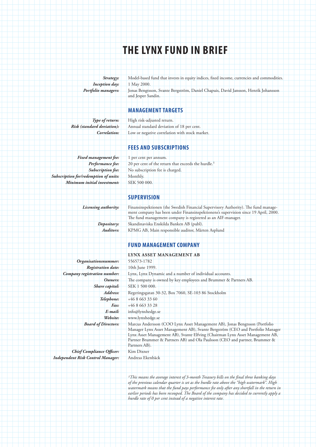# **THE LYNX FUND IN BRIEF**

*Strategy:* Model-based fund that invests in equity indices, fixed income, currencies and commodities. *Inception day:* 1 May 2000. *Portfolio managers:* Jonas Bengtsson, Svante Bergström, Daniel Chapuis, David Jansson, Henrik Johansson and Jesper Sandin.

## **MANAGEMENT TARGETS**

*Type of return:* High risk-adjusted return. *Risk (standard deviation):* Annual standard deviation of 18 per cent. *Correlation:* Low or negative correlation with stock market.

### **FEES AND SUBSCRIPTIONS**

Fixed management fee: 1 per cent per annum. *Subscription for/redemption of units:* Monthly. *Minimum initial investment:* SEK 500 000.

Performance fee: 20 per cent of the return that exceeds the hurdle.<sup>1</sup> *Subscription fee:* No subscription fee is charged.

## **SUPERVISION**

*Licensing authority:* Finansinspektionen (the Swedish Financial Supervisory Authority). The fund management company has been under Finansinspektionens's supervision since 19 April, 2000. The fund management company is registered as an AIF-manager. *Depositary:* Skandinaviska Enskilda Banken AB (publ). *Auditors:* KPMG AB, Main responsible auditor, Mårten Asplund

# **FUND MANAGEMENT COMPANY**

*Organisationsnummer:* 556573-1782

*Chief Compliance Officer:* Kim Dixner *Independent Risk Control Manager:* Andreas Ekenbäck

**LYNX ASSET MANAGEMENT AB** *Registration date:* 10th June 1999. *Company registration number:* Lynx, Lynx Dynamic and a number of individual accounts. *Owners:* The company is owned by key employees and Brummer & Partners AB. *Share capital:* SEK 1 500 000. *Address:* Regeringsgatan 30-32, Box 7060, SE-103 86 Stockholm *Telephone:* +46 8 663 33 60 *Fax:* +46 8 663 33 28 *E-mail:* info@lynxhedge.se *Website:* www.lynxhedge.se *Board of Directors:* Marcus Andersson (COO Lynx Asset Management AB), Jonas Bengtsson (Portfolio Manager Lynx Asset Management AB), Svante Bergström (CEO and Portfolio Manager Lynx Asset Management AB), Svante Elfving (Chairman Lynx Asset Management AB, Partner Brummer & Partners AB) and Ola Paulsson (CEO and partner, Brummer & Partners AB).

> *1This means the average interest of 3-month Treasury bills on the final three banking days of the previous calendar quarter is set as the hurdle rate above the "high watermark". High*  watermark means that the fund pays performance fee only after any shortfall in the return in *earlier periods has been recouped. The Board of the company has decided to currently apply a hurdle rate of 0 per cent instead of a negative interest rate.*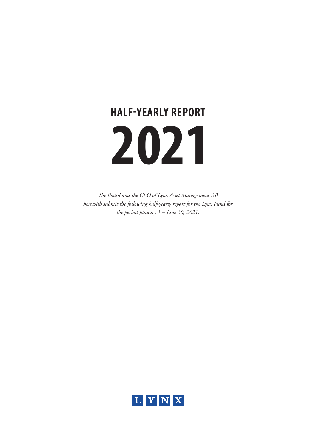# **2021 HALF-YEARLY REPORT**

*The Board and the CEO of Lynx Asset Management AB herewith submit the following half-yearly report for the Lynx Fund for the period January 1 – June 30, 2021.*

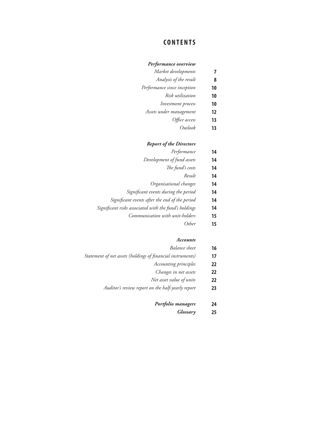## **CONTENTS**

#### *Performance overview*

| Market developments    |   |
|------------------------|---|
| Analysis of the result | 8 |

- *Performance since inception* **10**
	- *Risk utilization* **10**
	- *Investment process* **10**
	- *Assets under management* **12**
		- *Office access* **13**
			- *Outlook* **13**

#### *Report of the Directors*

| Performance | 14 |
|-------------|----|
|-------------|----|

- *Development of fund assets* **14**
	- *The fund's costs* **14**
		- *Result* **14**
- *Organisational changes* **14**
- *Significant events during the period* **14**
- *Significant events after the end of the period* **14**
- *Significant risks associated with the fund's holdings* **14**
	- *Communication with unit-holders* **15**
		- *Other* **15**

#### *Accounts*

- *Balance sheet* **16**
- *Statement of net assets (holdings of financial instruments)* **17**
	- *Accounting principles* **22**
	- *Changes in net assets* **22**
	- *Net asset value of units* **22**
	- *Auditor's review report on the half-yearly report* **23**
		- *Portfolio managers* **24**
			- *Glossary* **25**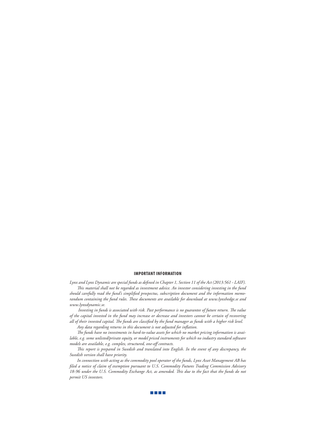#### **IMPORTANT INFORMATION**

*Lynx and Lynx Dynamic are special funds as defined in Chapter 1, Section 11 of the Act (2013:561 - LAIF). This material shall not be regarded as investment advice. An investor considering investing in the fund should carefully read the fund's simplified prospectus, subscription document and the information memorandum containing the fund rules. These documents are available for download at www.lynxhedge.se and www.lynxdynamic.se.*

 *Investing in funds is associated with risk. Past performance is no guarantee of future return. The value of the capital invested in the fund may increase or decrease and investors cannot be certain of recovering all of their invested capital. The funds are classified by the fund manager as funds with a higher risk level.* 

*Any data regarding returns in this document is not adjusted for inflation.*

*The funds have no investments in hard-to-value assets for which no market pricing information is available, e.g. some unlisted/private equity, or model priced instruments for which no industry standard software models are available, e.g. complex, structured, one-off contracts.*

*This report is prepared in Swedish and translated into English. In the event of any discrepancy, the Swedish version shall have priority.*

*In connection with acting as the commodity pool operator of the funds, Lynx Asset Management AB has filed a notice of claim of exemption pursuant to U.S. Commodity Futures Trading Commission Advisory 18-96 under the U.S. Commodity Exchange Act, as amended. This due to the fact that the funds do not permit US investors.* 

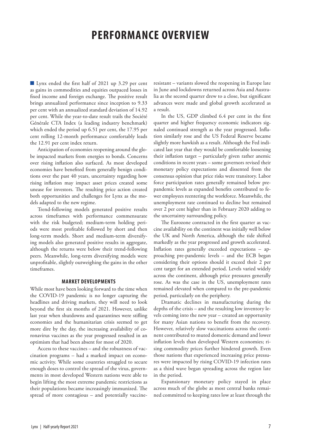# **PERFORMANCE OVERVIEW**

 Lynx ended the first half of 2021 up 3.29 per cent as gains in commodities and equities outpaced losses in fixed income and foreign exchange. The positive result brings annualized performance since inception to 9.33 per cent with an annualized standard deviation of 14.92 per cent. While the year-to-date result trails the Société Générale CTA Index (a leading industry benchmark) which ended the period up 6.51 per cent, the 17.95 per cent rolling 12-month performance comfortably leads the 12.91 per cent index return.

Anticipation of economies reopening around the globe impacted markets from energies to bonds. Concerns over rising inflation also surfaced. As most developed economies have benefited from generally benign conditions over the past 40 years, uncertainty regarding how rising inflation may impact asset prices created some unease for investors. The resulting price action created both opportunities and challenges for Lynx as the models adapted to the new regime.

Trend-following models generated positive results across timeframes with performance commensurate with the risk budgeted; medium-term holding periods were most profitable followed by short and then long-term models. Short and medium-term diversifying models also generated positive results in aggregate, although the returns were below their trend-following peers. Meanwhile, long-term diversifying models were unprofitable, slightly outweighing the gains in the other timeframes.

#### **MARKET DEVELOPMENTS**

While most have been looking forward to the time when the COVID-19 pandemic is no longer capturing the headlines and driving markets, they will need to look beyond the first six months of 2021. However, unlike last year when shutdowns and quarantines were stifling economies and the humanitarian crisis seemed to get more dire by the day, the increasing availability of coronavirus vaccines as the year progressed resulted in an optimism that had been absent for most of 2020.

Access to these vaccines – and the robustness of vaccination programs – had a marked impact on economic activity. While some countries struggled to secure enough doses to control the spread of the virus, governments in most developed Western nations were able to begin lifting the most extreme pandemic restrictions as their populations became increasingly immunized. The spread of more contagious – and potentially vaccineresistant – variants slowed the reopening in Europe late in June and lockdowns returned across Asia and Australia as the second quarter drew to a close, but significant advances were made and global growth accelerated as a result.

In the US, GDP climbed 6.4 per cent in the first quarter and higher frequency economic indicators signaled continued strength as the year progressed. Inflation similarly rose and the US Federal Reserve became slightly more hawkish as a result. Although the Fed indicated last year that they would be comfortable loosening their inflation target – particularly given rather anemic conditions in recent years – some governors revised their monetary policy expectations and dissented from the consensus opinion that price risks were transitory. Labor force participation rates generally remained below prepandemic levels as expanded benefits contributed to fewer employees reentering the workforce. Meanwhile, the unemployment rate continued to decline but remained over 2 per cent higher than in February 2020 adding to the uncertainty surrounding policy.

The Eurozone contracted in the first quarter as vaccine availability on the continent was initially well below the UK and North America, although the tide shifted markedly as the year progressed and growth accelerated. Inflation rates generally exceeded expectations – approaching pre-pandemic levels – and the ECB began considering their options should it exceed their 2 per cent target for an extended period. Levels varied widely across the continent, although price pressures generally rose. As was the case in the US, unemployment rates remained elevated when compared to the pre-pandemic period, particularly on the periphery.

Dramatic declines in manufacturing during the depths of the crisis – and the resulting low inventory levels coming into the new year – created an opportunity for many Asian nations to benefit from the recovery. However, relatively slow vaccinations across the continent contributed to muted domestic demand and lower inflation levels than developed Western economies; rising commodity prices further hindered growth. Even those nations that experienced increasing price pressures were impacted by rising COVID-19 infection rates as a third wave began spreading across the region late in the period.

Expansionary monetary policy stayed in place across much of the globe as most central banks remained committed to keeping rates low at least through the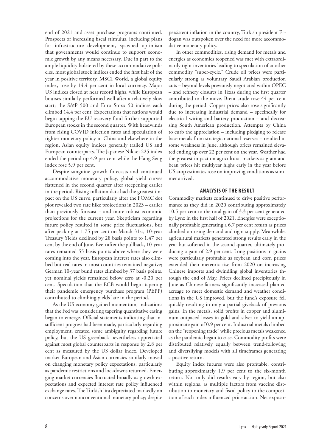end of 2021 and asset purchase programs continued. Prospects of increasing fiscal stimulus, including plans for infrastructure development, spawned optimism that governments would continue to support economic growth by any means necessary. Due in part to the ample liquidity bolstered by these accommodative policies, most global stock indices ended the first half of the year in positive territory. MSCI World, a global equity index, rose by 14.4 per cent in local currency. Major US indices closed at near record highs, while European bourses similarly performed well after a relatively slow start; the S&P 500 and Euro Stoxx 50 indices each climbed 14.4 per cent. Expectations that nations would begin tapping the EU recovery fund further supported European stocks in the second quarter. With headwinds from rising COVID infection rates and speculation of tighter monetary policy in China and elsewhere in the region, Asian equity indices generally trailed US and European counterparts. The Japanese Nikkei 225 index ended the period up 4.9 per cent while the Hang Seng index rose 5.9 per cent.

Despite sanguine growth forecasts and continued accommodative monetary policy, global yield curves flattened in the second quarter after steepening earlier in the period. Rising inflation data had the greatest impact on the US curve, particularly after the FOMC dot plot revealed two rate hike projections in 2023 – earlier than previously forecast – and more robust economic projections for the current year. Skepticism regarding future policy resulted in some price fluctuations, but after peaking at 1.75 per cent on March 31st, 10-year Treasury Yields declined by 28 basis points to 1.47 per cent by the end of June. Even after the pullback, 10-year rates remained 55 basis points above where they were coming into the year. European interest rates also climbed but real rates in most countries remained negative; German 10-year bund rates climbed by 37 basis points, yet nominal yields remained below zero at -0.20 per cent. Speculation that the ECB would begin tapering their pandemic emergency purchase program (PEPP) contributed to climbing yields late in the period.

As the US economy gained momentum, indications that the Fed was considering tapering quantitative easing began to emerge. Official statements indicating that insufficient progress had been made, particularly regarding employment, created some ambiguity regarding future policy, but the US greenback nevertheless appreciated against most global counterparts in response by 2.8 per cent as measured by the US dollar index. Developed market European and Asian currencies similarly moved on changing monetary policy expectations, particularly as pandemic restrictions and lockdowns returned. Emerging market currencies fluctuated broadly as growth expectations and expected interest rate policy influenced exchange rates. The Turkish lira depreciated markedly on concerns over nonconventional monetary policy; despite

persistent inflation in the country, Turkish president Erdogan was outspoken over the need for more accommodative monetary policy.

In other commodities, rising demand for metals and energies as economies reopened was met with extraordinarily tight inventories leading to speculation of another commodity "super-cycle." Crude oil prices were particularly strong as voluntary Saudi Arabian production cuts – beyond levels previously negotiated within OPEC – and refinery closures in Texas during the first quarter contributed to the move. Brent crude rose 44 per cent during the period. Copper prices also rose significantly due to increasing industrial demand – specifically for electrical wiring and battery production – and decreasing South American production. Attempts by China to curb the appreciation – including pledging to release base metals from strategic national reserves – resulted in some weakness in June, although prices remained elevated ending up over 22 per cent on the year. Weather had the greatest impact on agricultural markets as grain and bean prices hit multiyear highs early in the year before US crop estimates rose on improving conditions as summer arrived.

#### **ANALYSIS OF THE RESULT**

Commodity markets continued to drive positive performance as they did in 2020 contributing approximately 10.5 per cent to the total gain of 3.3 per cent generated by Lynx in the first half of 2021. Energies were exceptionally profitable generating a 6.7 per cent return as prices climbed on rising demand and tight supply. Meanwhile, agricultural markets generated strong results early in the year but softened in the second quarter, ultimately producing a gain of 2.9 per cent. Long positions in grains were particularly profitable as soybean and corn prices extended their meteoric rise from 2020 on increasing Chinese imports and dwindling global inventories through the end of May. Prices declined precipitously in June as Chinese farmers significantly increased planted acreage to meet domestic demand and weather conditions in the US improved, but the fund's exposure fell quickly resulting in only a partial giveback of previous gains. In the metals, solid profits in copper and aluminum outpaced losses in gold and silver to yield an approximate gain of 0.9 per cent. Industrial metals climbed on the "reopening trade" while precious metals weakened as the pandemic began to ease. Commodity profits were distributed relatively equally between trend-following and diversifying models with all timeframes generating a positive return.

Equity index futures were also profitable, contributing approximately 1.9 per cent to the six-month return. Not only did results vary by region, but also within regions, as multiple factors from vaccine distribution to monetary and fiscal policy to the composition of each index influenced price action. Net exposu-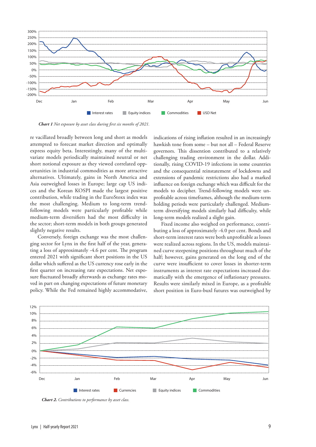

*Chart 1 Net exposure by asset class during first six months of 2021.*

re vacillated broadly between long and short as models attempted to forecast market direction and optimally express equity beta. Interestingly, many of the multivariate models periodically maintained neutral or net short notional exposure as they viewed correlated opportunities in industrial commodities as more attractive alternatives. Ultimately, gains in North America and Asia outweighed losses in Europe; large cap US indices and the Korean KOSPI made the largest positive contribution, while trading in the EuroStoxx index was the most challenging. Medium to long-term trendfollowing models were particularly profitable while medium-term diversifiers had the most difficulty in the sector; short-term models in both groups generated slightly negative results.

Conversely, foreign exchange was the most challenging sector for Lynx in the first half of the year, generating a loss of approximately -4.6 per cent. The program entered 2021 with significant short positions in the US dollar which suffered as the US currency rose early in the first quarter on increasing rate expectations. Net exposure fluctuated broadly afterwards as exchange rates moved in part on changing expectations of future monetary policy. While the Fed remained highly accommodative,

indications of rising inflation resulted in an increasingly hawkish tone from some – but not all – Federal Reserve governors. This dissention contributed to a relatively challenging trading environment in the dollar. Additionally, rising COVID-19 infections in some countries and the consequential reinstatement of lockdowns and extensions of pandemic restrictions also had a marked influence on foreign exchange which was difficult for the models to decipher. Trend-following models were unprofitable across timeframes, although the medium-term holding periods were particularly challenged. Mediumterm diversifying models similarly had difficulty, while long-term models realized a slight gain.

Fixed income also weighed on performance, contributing a loss of approximately -4.0 per cent. Bonds and short-term interest rates were both unprofitable as losses were realized across regions. In the US, models maintained curve steepening positions throughout much of the half; however, gains generated on the long end of the curve were insufficient to cover losses in shorter-term instruments as interest rate expectations increased dramatically with the emergence of inflationary pressures. Results were similarly mixed in Europe, as a profitable short position in Euro-buxl futures was outweighed by



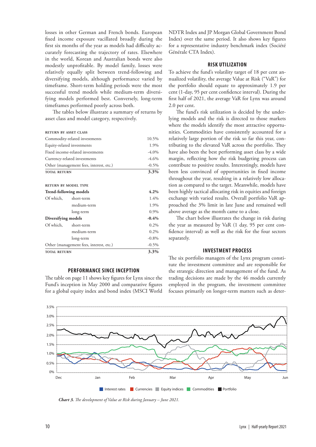losses in other German and French bonds. European fixed income exposure vacillated broadly during the first six months of the year as models had difficulty accurately forecasting the trajectory of rates. Elsewhere in the world, Korean and Australian bonds were also modestly unprofitable. By model family, losses were relatively equally split between trend-following and diversifying models, although performance varied by timeframe. Short-term holding periods were the most successful trend models while medium-term diversifying models performed best. Conversely, long-term timeframes performed poorly across both.

The tables below illustrate a summary of returns by asset class and model category, respectively.

#### **return by asset class**

| Commodity-related investments           | 10.5%                                   |          |
|-----------------------------------------|-----------------------------------------|----------|
| Equity-related investments              | 1.9%                                    |          |
| Fixed income-related investments        | $-4.0\%$                                |          |
| Currency-related investments            | $-4.6%$                                 |          |
| Other (management fees, interest, etc.) | $-0.5\%$                                |          |
| <b>TOTAL RETURN</b>                     | 3.3%                                    |          |
|                                         |                                         |          |
| <b>RETURN BY MODEL TYPE</b>             |                                         |          |
| <b>Trend-following models</b>           | 4.2%                                    |          |
| Of which,                               | short-term                              | 1.4%     |
|                                         | medium-term                             | 1.9%     |
|                                         | long-term                               | 0.9%     |
| Diversifying models                     |                                         | $-0.4%$  |
| Of which,                               | short-term                              | 0.2%     |
|                                         | medium-term                             | 0.2%     |
|                                         | long-term                               | $-0.8\%$ |
|                                         | Other (management fees, interest, etc.) | $-0.5\%$ |
| <b>TOTAL RETURN</b>                     | 3.3%                                    |          |

#### **PERFORMANCE SINCE INCEPTION**

The table on page 11 shows key figures for Lynx since the Fund's inception in May 2000 and comparative figures for a global equity index and bond index (MSCI World

NDTR Index and JP Morgan Global Government Bond Index) over the same period. It also shows key figures for a representative industry benchmark index (Société Générale CTA Index).

#### **RISK UTILIZATION**

To achieve the fund's volatility target of 18 per cent annualized volatility, the average Value at Risk ("VaR") for the portfolio should equate to approximately 1.9 per cent (1-day, 95 per cent confidence interval). During the first half of 2021, the average VaR for Lynx was around 2.0 per cent.

The fund's risk utilization is decided by the underlying models and the risk is directed to those markets where the models identify the most attractive opportunities. Commodities have consistently accounted for a relatively large portion of the risk so far this year, contributing to the elevated VaR across the portfolio. They have also been the best performing asset class by a wide margin, reflecting how the risk budgeting process can contribute to positive results. Interestingly, models have been less convinced of opportunities in fixed income throughout the year, resulting in a relatively low allocation as compared to the target. Meanwhile, models have been highly tactical allocating risk in equities and foreign exchange with varied results. Overall portfolio VaR approached the 3% limit in late June and remained well above average as the month came to a close.

The chart below illustrates the change in risk during the year as measured by VaR (1 day, 95 per cent confidence interval) as well as the risk for the four sectors separately.

#### **INVESTMENT PROCESS**

The six portfolio managers of the Lynx program constitute the investment committee and are responsible for the strategic direction and management of the fund. As trading decisions are made by the 46 models currently employed in the program, the investment committee focuses primarily on longer-term matters such as deter-



*Chart 3. The development of Value at Risk during January – June 2021.*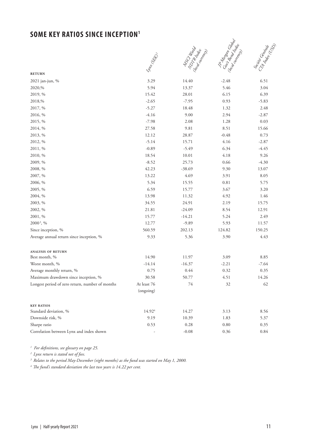# **SOME KEY RATIOS SINCE INCEPTION<sup>1</sup>**



|                                                 |                      | <b>MCCLINER</b> | <b>TA Monton Cr</b>                   |                                 |  |
|-------------------------------------------------|----------------------|-----------------|---------------------------------------|---------------------------------|--|
|                                                 | <b>Sizato Report</b> | Non-Indiana     | Caziz Batch Isle<br>(000 contrations) | <b>Sociological City Report</b> |  |
| <b>RETURN</b>                                   |                      |                 |                                       |                                 |  |
| 2021 jan-jun, %                                 | 3.29                 | 14.40           | $-2.48$                               | 6.51                            |  |
| 2020,%                                          | 5.94                 | 13.37           | 5.46                                  | 3.04                            |  |
| 2019, %                                         | 15.42                | 28.01           | 6.15                                  | 6.39                            |  |
| 2018,%                                          | $-2.65$              | $-7.95$         | 0.93                                  | $-5.83$                         |  |
| 2017, %                                         | $-5.27$              | 18.48           | 1.32                                  | 2.48                            |  |
| 2016, %                                         | $-4.16$              | 9.00            | 2.94                                  | $-2.87$                         |  |
| 2015, %                                         | $-7.98$              | 2.08            | 1.28                                  | 0.03                            |  |
| 2014, %                                         | 27.58                | 9.81            | 8.51                                  | 15.66                           |  |
| 2013, %                                         | 12.12                | 28.87           | $-0.48$                               | 0.73                            |  |
| 2012, %                                         | $-5.14$              | 15.71           | 4.16                                  | $-2.87$                         |  |
| 2011, %                                         | $-0.89$              | $-5.49$         | 6.34                                  | $-4.45$                         |  |
| 2010, %                                         | 18.54                | 10.01           | 4.18                                  | 9.26                            |  |
| 2009, %                                         | $-8.52$              | 25.73           | 0.66                                  | $-4.30$                         |  |
| 2008, %                                         | 42.23                | $-38.69$        | 9.30                                  | 13.07                           |  |
| 2007, %                                         | 13.22                | 4.69            | 3.91                                  | 8.05                            |  |
| 2006, %                                         | 5.34                 | 15.55           | $0.81\,$                              | 5.75                            |  |
| 2005, %                                         | 6.59                 | 15.77           | 3.67                                  | 3.20                            |  |
| 2004, %                                         | 13.98                | 11.32           | 4.92                                  | 1.46                            |  |
| 2003, %                                         | 34.55                | 24.91           | 2.19                                  | 15.75                           |  |
| 2002, %                                         | 21.81                | $-24.09$        | 8.54                                  | 12.91                           |  |
| 2001, %                                         | 15.77                | $-14.21$        | 5.24                                  | 2.49                            |  |
| 2000 <sup>3</sup> , %                           | 12.77                | $-9.89$         | 5.93                                  | 11.57                           |  |
| Since inception, %                              | 560.59               | 202.13          | 124.82                                | 150.25                          |  |
| Average annual return since inception, %        | 9.33                 | 5.36            | 3.90                                  | 4.43                            |  |
|                                                 |                      |                 |                                       |                                 |  |
| ANALYSIS OF RETURN                              |                      |                 |                                       |                                 |  |
| Best month, %                                   | 14.90                | 11.97           | 3.09                                  | 8.85                            |  |
| Worst month, %                                  | $-14.14$             | $-16.37$        | $-2.21$                               | $-7.64$                         |  |
| Average monthly return, %                       | 0.75                 | 0.44            | 0.32                                  | 0.35                            |  |
| Maximum drawdown since inception, %             | 30.58                | 50.77           | 4.51                                  | 14.26                           |  |
| Longest period of zero return, number of months | At least 76          | 74              | 32                                    | 62                              |  |
|                                                 | (ongoing)            |                 |                                       |                                 |  |
|                                                 |                      |                 |                                       |                                 |  |
| <b>KEY RATIOS</b>                               |                      |                 |                                       |                                 |  |
| Standard deviation, %                           | 14.924               | 14.27           | 3.13                                  | 8.56                            |  |
| Downside risk, %                                | 9.19                 | 10.39           | 1.83                                  | 5.37                            |  |
| Sharpe ratio                                    | 0.53                 | 0.28            | $0.80\,$                              | 0.35                            |  |
| Correlation between Lynx and index shown        |                      | $-0.08$         | 0.36                                  | 0.84                            |  |

*1 For definitions, see glossary on page 25.* 

*2 Lynx return is stated net of fees.* 

*3 Relates to the period May-December (eight months) as the fund was started on May 1, 2000.* 

*4 The fund's standard deviation the last two years is 14.22 per cent.*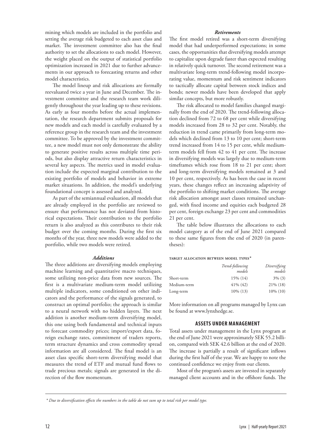mining which models are included in the portfolio and setting the average risk budgeted to each asset class and market. The investment committee also has the final authority to set the allocations to each model. However, the weight placed on the output of statistical portfolio optimization increased in 2021 due to further advancements in our approach to forecasting returns and other model characteristics.

The model lineup and risk allocations are formally reevaluated twice a year in June and December. The investment committee and the research team work diligently throughout the year leading up to these revisions. As early as four months before the actual implementation, the research department submits proposals for new models and each model is carefully evaluated by a reference group in the research team and the investment committee. To be approved by the investment committee, a new model must not only demonstrate the ability to generate positive results across multiple time periods, but also display attractive return characteristics in several key aspects. The metrics used in model evaluation include the expected marginal contribution to the existing portfolio of models and behavior in extreme market situations. In addition, the model's underlying foundational concept is assessed and analyzed.

As part of the semiannual evaluation, all models that are already employed in the portfolio are reviewed to ensure that performance has not deviated from historical expectations. Their contribution to the portfolio return is also analyzed as this contributes to their risk budget over the coming months. During the first six months of the year, three new models were added to the portfolio, while two models were retired.

#### *Additions*

The three additions are diversifying models employing machine learning and quantitative macro techniques, some utilizing non-price data from new sources. The first is a multivariate medium-term model utilizing multiple indicators, some conditioned on other indicators and the performance of the signals generated, to construct an optimal portfolio; the approach is similar to a neural network with no hidden layers. The next addition is another medium-term diversifying model, this one using both fundamental and technical inputs to forecast commodity prices; import/export data, foreign exchange rates, commitment of traders reports, term structure dynamics and cross commodity spread information are all considered. The final model is an asset class specific short-term diversifying model that measures the trend of ETF and mutual fund flows to trade precious metals; signals are generated in the direction of the flow momentum.

#### *Retirements*

The first model retired was a short-term diversifying model that had underperformed expectations; in some cases, the opportunities that diversifying models attempt to capitalize upon degrade faster than expected resulting in relatively quick turnover. The second retirement was a multivariate long-term trend-following model incorporating value, momentum and risk sentiment indicators to tactically allocate capital between stock indices and bonds; newer models have been developed that apply similar concepts, but more robustly.

The risk allocated to model families changed marginally from the end of 2020. The trend-following allocation declined from 72 to 68 per cent while diversifying models increased from 28 to 32 per cent. Notably, the reduction in trend came primarily from long-term models which declined from 13 to 10 per cent; short-term trend increased from 14 to 15 per cent, while mediumterm models fell from 42 to 41 per cent. The increase in diversifying models was largely due to medium-term timeframes which rose from 18 to 21 per cent; short and long-term diversifying models remained at 3 and 10 per cent, respectively. As has been the case in recent years, these changes reflect an increasing adaptivity of the portfolio to shifting market conditions. The average risk allocation amongst asset classes remained unchanged, with fixed income and equities each budgeted 28 per cent, foreign exchange 23 per cent and commodities 21 per cent.

The table below illustrates the allocations to each model category as of the end of June 2021 compared to these same figures from the end of 2020 (in parentheses):

#### **target allocation between model types\***

|             | Trend-following<br>models | Diversifying<br>models |
|-------------|---------------------------|------------------------|
| Short-term  | 15% (14)                  | $3\%$ (3)              |
| Medium-term | $41\%$ (42)               | $21\%$ (18)            |
| Long-term   | $10\%$ (13)               | $10\%$ (10)            |

More information on all programs managed by Lynx can be found at www.lynxhedge.se.

#### **ASSETS UNDER MANAGEMENT**

Total assets under management in the Lynx program at the end of June 2021 were approximately SEK 55.2 billion, compared with SEK 42.6 billion at the end of 2020. The increase is partially a result of significant inflows during the first half of the year. We are happy to note the continued confidence we enjoy from our clients.

Most of the program's assets are invested in separately managed client accounts and in the offshore funds. The

*<sup>\*</sup> Due to diversification effects the numbers in the table do not sum up to total risk per model type.*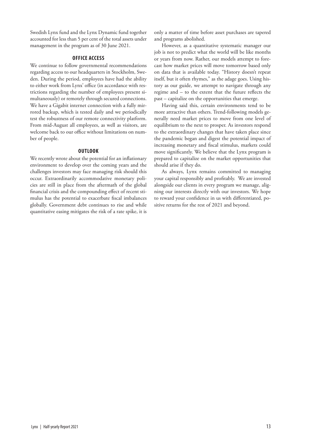Swedish Lynx fund and the Lynx Dynamic fund together accounted for less than 5 per cent of the total assets under management in the program as of 30 June 2021.

#### **OFFICE ACCESS**

We continue to follow governmental recommendations regarding access to our headquarters in Stockholm, Sweden. During the period, employees have had the ability to either work from Lynx' office (in accordance with restrictions regarding the number of employees present simultaneously) or remotely through secured connections. We have a Gigabit internet connection with a fully mirrored backup, which is tested daily and we periodically test the robustness of our remote connectivity platform. From mid-August all employees, as well as visitors, are welcome back to our office without limitations on number of people.

#### **OUTLOOK**

We recently wrote about the potential for an inflationary environment to develop over the coming years and the challenges investors may face managing risk should this occur. Extraordinarily accommodative monetary policies are still in place from the aftermath of the global financial crisis and the compounding effect of recent stimulus has the potential to exacerbate fiscal imbalances globally. Government debt continues to rise and while quantitative easing mitigates the risk of a rate spike, it is

only a matter of time before asset purchases are tapered and programs abolished.

However, as a quantitative systematic manager our job is not to predict what the world will be like months or years from now. Rather, our models attempt to forecast how market prices will move tomorrow based only on data that is available today. "History doesn't repeat itself, but it often rhymes," as the adage goes. Using history as our guide, we attempt to navigate through any regime and – to the extent that the future reflects the past – capitalize on the opportunities that emerge.

Having said this, certain environments tend to be more attractive than others. Trend-following models generally need market prices to move from one level of equilibrium to the next to prosper. As investors respond to the extraordinary changes that have taken place since the pandemic began and digest the potential impact of increasing monetary and fiscal stimulus, markets could move significantly. We believe that the Lynx program is prepared to capitalize on the market opportunities that should arise if they do.

As always, Lynx remains committed to managing your capital responsibly and profitably. We are invested alongside our clients in every program we manage, aligning our interests directly with our investors. We hope to reward your confidence in us with differentiated, positive returns for the rest of 2021 and beyond.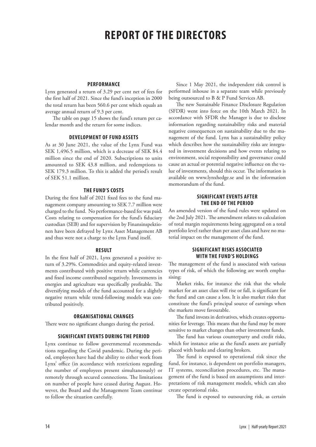# **REPORT OF THE DIRECTORS**

#### **PERFORMANCE**

Lynx generated a return of 3.29 per cent net of fees for the first half of 2021. Since the fund's inception in 2000 the total return has been 560.6 per cent which equals an average annual return of 9.3 per cent.

The table on page 15 shows the fund's return per calendar month and the return for some indices.

#### **DEVELOPMENT OF FUND ASSETS**

As at 30 June 2021, the value of the Lynx Fund was SEK 1,496.5 million, which is a decrease of SEK 84.4 million since the end of 2020. Subscriptions to units amounted to SEK 43.8 million, and redemptions to SEK 179.3 million. To this is added the period's result of SEK 51.1 million.

#### **THE FUND'S COSTS**

During the first half of 2021 fixed fees to the fund management company amounting to SEK 7.7 million were charged to the fund. No performance-based fee was paid. Costs relating to compensation for the fund's fiduciary custodian (SEB) and for supervision by Finansinspektionen have been defrayed by Lynx Asset Management AB and thus were not a charge to the Lynx Fund itself.

#### **RESULT**

In the first half of 2021, Lynx generated a positive return of 3.29%. Commodities and equity-related investments contributed with positive return while currencies and fixed income contributed negatively. Investments in energies and agriculture was specifically profitable. The diversifying models of the fund accounted for a slightly negative return while trend-following models was contributed positively.

#### **ORGANISATIONAL CHANGES**

There were no significant changes during the period.

#### **SIGNIFICANT EVENTS DURING THE PERIOD**

Lynx continue to follow governmental recommendations regarding the Covid pandemic. During the period, employees have had the ability to either work from Lynx' office (in accordance with restrictions regarding the number of employees present simultaneously) or remotely through secured connections. The limitations on number of people have ceased during August. However, the Board and the Management Team continue to follow the situation carefully.

Since 1 May 2021, the independent risk control is performed inhouse in a separate team while previously being outsourced to B & P Fund Services AB.

The new Sustainable Finance Disclosure Regulation (SFDR) went into force on the 10th March 2021. In accordance with SFDR the Manager is due to disclose information regarding sustainability risks and material negative consequences on sustainability due to the management of the fund. Lynx has a sustainability policy which describes how the sustainability risks are integrated in investment decisions and how events relating to environment, social responsibility and governance could cause an actual or potential negative influence on the value of investments, should this occur. The information is available on www.lynxhedge.se and in the information memorandum of the fund.

#### **SIGNIFICANT EVENTS AFTER THE END OF THE PERIOD**

An amended version of the fund rules were updated on the 2nd July 2021. The amendment relates to calculation of total margin requirements being aggregated on a total portfolio level rather than per asset class and have no material impact on the management of the fund.

#### **SIGNIFICANT RISKS ASSOCIATED WITH THE FUND'S HOLDINGS**

The management of the fund is associated with various types of risk, of which the following are worth emphasising:

Market risks, for instance the risk that the whole market for an asset class will rise or fall, is significant for the fund and can cause a loss. It is also market risks that constitute the fund's principal source of earnings when the markets move favourable.

The fund invests in derivatives, which creates opportunities for leverage. This means that the fund may be more sensitive to market changes than other investment funds.

The fund has various counterparty and credit risks, which for instance arise as the fund's assets are partially placed with banks and clearing brokers.

The fund is exposed to operational risk since the fund, for instance, is dependent on portfolio managers, IT systems, reconciliation procedures, etc. The management of the fund is based on assumptions and interpretations of risk management models, which can also create operational risks.

The fund is exposed to outsourcing risk, as certain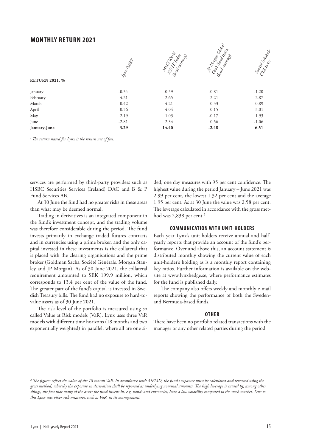### **MONTHLY RETURN 2021**



*1 The return stated for Lynx is the return net of fees.* 

services are performed by third-party providers such as HSBC Securities Services (Ireland) DAC and B & P Fund Services AB.

At 30 June the fund had no greater risks in these areas than what may be deemed normal.

Trading in derivatives is an integrated component in the fund's investment concept, and the trading volume was therefore considerable during the period. The fund invests primarily in exchange traded futures contracts and in currencies using a prime broker, and the only capital invested in these investments is the collateral that is placed with the clearing organisations and the prime broker (Goldman Sachs, Société Générale, Morgan Stanley and JP Morgan). As of 30 June 2021, the collateral requirement amounted to SEK 199.9 million, which corresponds to 13.4 per cent of the value of the fund. The greater part of the fund's capital is invested in Swedish Treasury bills. The fund had no exposure to hard-tovalue assets as of 30 June 2021.

The risk level of the portfolio is measured using so called Value at Risk models (VaR). Lynx uses three VaR models with different time horizons (18 months and two exponentially weighted) in parallel, where all are one sided, one day measures with 95 per cent confidence. The highest value during the period January – June 2021 was 2.99 per cent, the lowest 1.32 per cent and the average 1.95 per cent. As at 30 June the value was 2.58 per cent. The leverage calculated in accordance with the gross method was 2,838 per cent.<sup>2</sup>

#### **COMMUNICATION WITH UNIT-HOLDERS**

Each year Lynx's unit-holders receive annual and halfyearly reports that provide an account of the fund's performance. Over and above this, an account statement is distributed monthly showing the current value of each unit-holder's holding as is a monthly report containing key ratios. Further information is available on the website at www.lynxhedge.se, where performance estimates for the fund is published daily.

The company also offers weekly and monthly e-mail reports showing the performance of both the Swedenand Bermuda-based funds.

#### **OTHER**

There have been no portfolio related transactions with the manager or any other related parties during the period.

*<sup>2</sup> The figures reflect the value of the 18 month VaR. In accordance with AIFMD, the fund's exposure must be calculated and reported using the gross method, whereby the exposure in derivatives shall be reported as underlying nominal amounts. The high leverage is caused by, among other things, the fact that many of the assets the fund invests in, e.g. bonds and currencies, have a low volatility compared to the stock market. Due to this Lynx uses other risk measures, such as VaR, in its management.*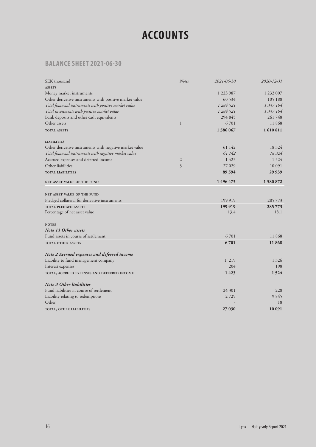# **ACCOUNTS**

# **BALANCE SHEET 2021-06-30**

| SEK thousand                                            | <b>Notes</b>   | 2021-06-30      | 2020-12-31      |
|---------------------------------------------------------|----------------|-----------------|-----------------|
| <b>ASSETS</b>                                           |                |                 |                 |
| Money market instruments                                |                | 1 223 987       | 1 232 007       |
| Other derivative instruments with positive market value |                | 60 534          | 105 188         |
| Total financial instruments with positive market value  |                | 1 284 521       | 1 337 194       |
| Total investments with positive market value            |                | 1 284 521       | 1 337 194       |
| Bank deposits and other cash equivalents                |                | 294 845         | 261748          |
| Other assets                                            | $\mathbf{1}$   | 6701            | 11868           |
| <b>TOTAL ASSETS</b>                                     |                | 1586067         | 1610811         |
| <b>LIABILITIES</b>                                      |                |                 |                 |
| Other derivative instruments with negative market value |                | 61 142          | 18 324          |
| Total financial instruments with negative market value  |                | 61 142          | 18.324          |
| Accrued expenses and deferred income                    | $\mathfrak{2}$ | 1 4 2 3         | 1 5 2 4         |
| Other liabilities                                       | 3              | 27 029          | 10 091          |
| <b>TOTAL LIABILITIES</b>                                |                | 89 594          | 29 9 39         |
| NET ASSET VALUE OF THE FUND                             |                | 1496473         | 1580872         |
|                                                         |                |                 |                 |
| <b>NET ASSET VALUE OF THE FUND</b>                      |                |                 |                 |
| Pledged collateral for derivative instruments           |                | 199 919         | 285 773         |
| <b>TOTAL PLEDGED ASSETS</b>                             |                | 199 919<br>13.4 | 285 773<br>18.1 |
| Percentage of net asset value                           |                |                 |                 |
| <b>NOTES</b>                                            |                |                 |                 |
| Note 13 Other assets                                    |                |                 |                 |
| Fund assets in course of settlement                     |                | 6701            | 11868           |
| <b>TOTAL OTHER ASSETS</b>                               |                | 6701            | 11868           |
| Note 2 Accrued expenses and deferred income             |                |                 |                 |
| Liability to fund management company                    |                | 1 2 1 9         | 1 3 2 6         |
| Interest expenses                                       |                | 204             | 198             |
| TOTAL, ACCRUED EXPENSES AND DEFERRED INCOME             |                | 1423            | 1524            |
| <b>Note 3 Other liabilities</b>                         |                |                 |                 |
| Fund liabilities in course of settlement                |                | 24 301          | 228             |
| Liability relating to redemptions                       |                | 2729            | 9845            |
| Other                                                   |                |                 | 18              |
| TOTAL, OTHER LIABILITIES                                |                | 27 030          | 10 091          |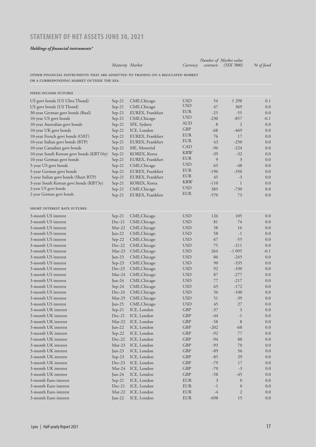# **STATEMENT OF NET ASSETS JUNE 30, 2021**

#### *Holdings of financial instruments\**

|                                                                                |                    |                              |                          |                | Number of Market value |               |
|--------------------------------------------------------------------------------|--------------------|------------------------------|--------------------------|----------------|------------------------|---------------|
|                                                                                | Maturity Market    |                              | Currency                 | contracts      | <i>(SEK '000)</i>      | % of fund     |
| OTHER FINANCIAL INSTRUMENTS THAT ARE ADMITTED TO TRADING ON A REGULATED MARKET |                    |                              |                          |                |                        |               |
| OR A CORRESPONDING MARKET OUTSIDE THE EEA                                      |                    |                              |                          |                |                        |               |
| FIXED INCOME FUTURES                                                           |                    |                              |                          |                |                        |               |
| US govt bonds (US Ultra Tbond)                                                 | $Sep-21$           | CME, Chicago                 | <b>USD</b>               | 54             | 1 2 9 8                | 0.1           |
| US govt bonds (US Tbond)                                                       | $Sep-21$           | CME, Chicago                 | <b>USD</b>               | 47             | 369                    | 0.0           |
| 30-year German govt bonds (Buxl)                                               | $Sep-21$           | EUREX, Frankfurt             | <b>EUR</b>               | $-25$          | $-55$                  | 0.0           |
| 10-year US govt bonds                                                          | $Sep-21$           | CME, Chicago                 | <b>USD</b>               | $-230$         | $-857$                 | $-0.1$        |
| 10-year Australian govt bonds                                                  | $Sep-21$           | SFE, Sydney                  | AUD                      | 8              | 2                      | 0.0           |
| 10-year UK govt bonds                                                          | $Sep-21$           | ICE, London                  | <b>GBP</b>               | $-68$          | -469                   | 0.0           |
| 10-year French govt bonds (OAT)                                                | $Sep-21$           | EUREX, Frankfurt             | EUR                      | 76             | 17                     | 0.0           |
| 10-year Italian govt bonds (BTP)                                               | $Sep-21$           | EUREX, Frankfurt             | <b>EUR</b>               | 43             | $-250$                 | 0.0           |
| 10-year Canadian govt bonds                                                    | $Sep-21$           | ME, Montréal                 | <b>CAD</b>               | $-96$          | $-224$                 | 0.0           |
| 10-year South Korean govt bonds (KBT10y)                                       | $Sep-21$           | KOREX, Korea                 | <b>KRW</b>               | $-39$          | $-32$                  | 0.0           |
| 10-year German govt bonds                                                      | $Sep-21$           | EUREX, Frankfurt             | <b>EUR</b>               | 9              | 3                      | 0.0           |
| 5-year US govt bonds                                                           | $Sep-21$           | CME, Chicago                 | <b>USD</b>               | 65             | -48                    | 0.0           |
| 5-year German govt bonds                                                       | $Sep-21$           | EUREX, Frankfurt             | EUR                      | -196           | $-350$                 | 0.0           |
| 3-year Italian govt bonds (Short BTP)                                          | $Sep-21$           | EUREX, Frankfurt             | <b>EUR</b>               | 45             | $-3$                   | 0.0           |
| 3-year South Korean govt bonds (KBT3y)                                         | $Sep-21$           | KOREX, Korea                 | <b>KRW</b>               | $-110$         | 1                      | 0.0           |
| 2-year US govt bonds                                                           | $Sep-21$           | CME, Chicago                 | <b>USD</b>               | 383            | $-730$                 | 0.0           |
| 2-year German govt bonds                                                       | $Sep-21$           | EUREX, Frankfurt             | <b>EUR</b>               | $-570$         | 73                     | 0.0           |
| SHORT INTEREST RATE FUTURES                                                    |                    |                              |                          |                |                        |               |
|                                                                                |                    |                              |                          |                |                        |               |
| 3-month US interest                                                            | $Sep-21$           | CME, Chicago                 | <b>USD</b>               | 126            | 105                    | 0.0           |
| 3-month US interest<br>3-month US interest                                     | $Dec-21$<br>Mar-22 | CME, Chicago                 | <b>USD</b><br><b>USD</b> | 81<br>58       | 74<br>16               | 0.0<br>0.0    |
| 3-month US interest                                                            |                    | CME, Chicago                 | <b>USD</b>               |                |                        |               |
|                                                                                | $Jun-22$           | CME, Chicago                 |                          | 58             | $-1$                   | 0.0           |
| 3-month US interest<br>3-month US interest                                     | $Sep-22$           | CME, Chicago                 | <b>USD</b>               | 67<br>75       | $-55$<br>$-211$        | 0.0           |
| 3-month US interest                                                            | $Dec-22$<br>Mar-23 | CME, Chicago                 | <b>USD</b><br><b>USD</b> | 264            | $-1095$                | 0.0<br>$-0.1$ |
| 3-month US interest                                                            | Jun- $23$          | CME, Chicago<br>CME, Chicago | <b>USD</b>               | 86             | $-245$                 | 0.0           |
| 3-month US interest                                                            | $Sep-23$           | CME, Chicago                 | <b>USD</b>               | 90             | $-335$                 | 0.0           |
| 3-month US interest                                                            | $Dec-23$           | CME, Chicago                 | <b>USD</b>               | 92             | $-330$                 | 0.0           |
| 3-month US interest                                                            | Mar-24             | CME, Chicago                 | <b>USD</b>               | 87             | $-277$                 | 0.0           |
| 3-month US interest                                                            | Jun- $24$          | CME, Chicago                 | <b>USD</b>               | 77             | $-217$                 | 0.0           |
| 3-month US interest                                                            | $Sep-24$           | CME, Chicago                 | <b>USD</b>               | 65             | $-172$                 | 0.0           |
| 3-month US interest                                                            | $Dec-24$           | CME, Chicago                 | <b>USD</b>               | 56             | $-100$                 | 0.0           |
| 3-month US interest                                                            | Mar-25             | CME, Chicago                 | USD                      | 51             | -39                    | $0.0\,$       |
| 3-month US interest                                                            | Jun-25             | CME, Chicago                 | <b>USD</b>               | 45             | $27\,$                 | 0.0           |
| 3-month UK interest                                                            | $Sep-21$           | ICE, London                  | GBP                      | $-37$          | $\mathfrak{Z}$         | 0.0           |
| 3-month UK interest                                                            | $Dec-21$           | ICE, London                  | GBP                      | $-44$          | $^{\rm -1}$            | 0.0           |
| 3-month UK interest                                                            | Mar-22             | ICE, London                  | GBP                      | $-58$          | $\,8\,$                | 0.0           |
| 3-month UK interest                                                            | Jun-22             | ICE, London                  | GBP                      | $-202$         | -68                    | 0.0           |
| 3-month UK interest                                                            | $Sep-22$           | ICE, London                  | GBP                      | $-92$          | 77                     | 0.0           |
| 3-month UK interest                                                            | Dec-22             | ICE, London                  | GBP                      | $-94$          | 88                     | 0.0           |
| 3-month UK interest                                                            | $Mar-23$           | ICE, London                  | GBP                      | $-93$          | 70                     | 0.0           |
| 3-month UK interest                                                            | Jun-23             | ICE, London                  | GBP                      | $-89$          | 56                     | 0.0           |
| 3-month UK interest                                                            | $Sep-23$           | ICE, London                  | GBP                      | $-85$          | 29                     | 0.0           |
| 3-month UK interest                                                            | $Dec-23$           | ICE, London                  | <b>GBP</b>               | $-79$          | 17                     | 0.0           |
| 3-month UK interest                                                            | Mar-24             | ICE, London                  | GBP                      | $-70$          | $-3$                   | 0.0           |
| 3-month UK interest                                                            | Jun-24             | ICE, London                  | GBP                      | $-58$          | $-45$                  | 0.0           |
| 3-month Euro interest                                                          | $Sep-21$           | ICE, London                  | EUR                      | $\mathfrak{Z}$ | $\mathbf{0}$           | 0.0           |
| 3-month Euro interest                                                          | Dec-21             | ICE, London                  | EUR                      | $^{\rm -1}$    | $\mathbf{0}$           | 0.0           |
| 3-month Euro interest                                                          | Mar-22             | ICE, London                  | EUR                      | $-4$           | $\overline{2}$         | 0.0           |
| 3-month Euro interest                                                          | Jun-22             | ICE, London                  | EUR                      | $-698$         | 15                     | 0.0           |
|                                                                                |                    |                              |                          |                |                        |               |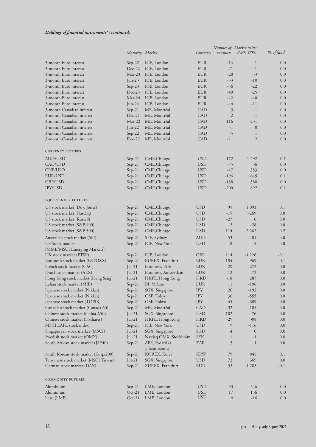|                                                        | Maturity Market      |                                | Currency          | contracts                        | Number of Market value<br><i>(SEK'000)</i> | % of fund  |
|--------------------------------------------------------|----------------------|--------------------------------|-------------------|----------------------------------|--------------------------------------------|------------|
|                                                        |                      |                                |                   |                                  |                                            |            |
| 3-month Euro interest                                  | $Sep-22$             | ICE, London                    | <b>EUR</b>        | $-14$                            | $\mathbf{1}$                               | 0.0        |
| 3-month Euro interest                                  | Dec-22               | ICE, London                    | <b>EUR</b>        | $-21$                            | $-1$                                       | 0.0        |
| 3-month Euro interest                                  | Mar-23               | ICE, London                    | <b>EUR</b>        | $-28$                            | $-3$                                       | 0.0        |
| 3-month Euro interest                                  | Jun-23               | ICE, London                    | <b>EUR</b>        | $-33$                            | $-10$                                      | 0.0        |
| 3-month Euro interest                                  | $Sep-23$             | ICE, London                    | <b>EUR</b>        | -36                              | $-22$                                      | 0.0        |
| 3-month Euro interest                                  | Dec-23               | ICE, London                    | <b>EUR</b>        | -40                              | $-25$                                      | 0.0        |
| 3-month Euro interest                                  | Mar-24               | ICE, London                    | <b>EUR</b>        | -42                              | $-40$                                      | 0.0        |
| 3-month Euro interest                                  | Jun-24               | ICE, London                    | <b>EUR</b>        | $-44$                            | -11                                        | 0.0        |
| 3-month Canadian interest<br>3-month Canadian interest | Sep-21<br>Dec-21     | ME, Montréal                   | CAD               | $\mathfrak{Z}$<br>$\mathfrak{2}$ | $-1$<br>$-1$                               | 0.0<br>0.0 |
| 3-month Canadian interest                              | Mar-22               | ME, Montréal<br>ME, Montréal   | CAD<br><b>CAD</b> | 116                              | $-231$                                     | 0.0        |
| 3-month Canadian interest                              | $Jun-22$             | ME, Montréal                   | <b>CAD</b>        | $-1$                             | $\overline{0}$                             | 0.0        |
| 3-month Canadian interest                              | $Sep-22$             | ME, Montréal                   | <b>CAD</b>        | $-5$                             | $\mathbf{1}$                               | 0.0        |
| 3-month Canadian interest                              | $Dec-22$             | ME, Montréal                   | CAD               | -11                              | $\overline{2}$                             | 0.0        |
|                                                        |                      |                                |                   |                                  |                                            |            |
| <b>CURRENCY FUTURES</b>                                |                      |                                |                   |                                  |                                            |            |
| AUD/USD                                                | $Sep-21$             | CME, Chicago                   | <b>USD</b>        | $-172$                           | 1492                                       | 0.1        |
| CAD/USD                                                | $Sep-21$             | CME, Chicago                   | <b>USD</b>        | $-75$                            | 36                                         | 0.0        |
| CHF/USD                                                | $Sep-21$             | CME, Chicago                   | <b>USD</b>        | $-47$                            | 383                                        | 0.0        |
| EUR/USD                                                | $Sep-21$             | CME, Chicago                   | <b>USD</b>        | $-196$                           | 1 6 4 5                                    | 0.1        |
| GBP/USD                                                | $Sep-21$             | CME, Chicago                   | <b>USD</b>        | $-138$                           | 388                                        | 0.0        |
| JPY/USD                                                | $Sep-21$             | CME, Chicago                   | <b>USD</b>        | $-200$                           | 892                                        | 0.1        |
| <b>EQUITY INDEX FUTURES</b>                            |                      |                                |                   |                                  |                                            |            |
|                                                        |                      |                                | <b>USD</b>        |                                  | 1 0 9 3                                    |            |
| US stock market (Dow Jones)                            | $Sep-21$             | CME, Chicago                   | <b>USD</b>        | 95<br>$-15$                      | $-269$                                     | 0.1<br>0.0 |
| US stock market (Nasdaq)<br>US stock market (Russell)  | $Sep-21$             | CME, Chicago<br>CME, Chicago   | <b>USD</b>        | $-27$                            | 6                                          | 0.0        |
| US stock market (S&P 400)                              | $Sep-21$<br>$Sep-21$ | CME, Chicago                   | USD               | $-2$                             | $-28$                                      | 0.0        |
| US stock market (S&P 500)                              | $Sep-21$             | CME, Chicago                   | <b>USD</b>        | 114                              | 2 2 6 2                                    | 0.2        |
| Australian stock market (SPI)                          |                      | SFE, Sydney                    | <b>AUD</b>        | 53                               | $-481$                                     | 0.0        |
| US Stock market                                        | $Sep-21$<br>$Sep-21$ | ICE, New York                  | <b>USD</b>        | 8                                | $-4$                                       | 0.0        |
| (MME/MSCI Emerging Markets)                            |                      |                                |                   |                                  |                                            |            |
| UK stock market (FTSE)                                 | $Sep-21$             | ICE, London                    | GBP               | 114                              | $-1226$                                    | $-0.1$     |
| European stock market (ESTOXX)                         | $Sep-21$             | EUREX, Frankfurt               | EUR               | 184                              | $-969$                                     | $-0.1$     |
| French stock market (CAC)                              | $Jul-21$             | Euronext, Paris                | EUR               | 29                               | $-272$                                     | 0.0        |
| Dutch stock market (AEX)                               | $Jul-21$             | Euronext, Amsterdam            | EUR               | 12                               | 72                                         | 0.0        |
| Hong Kong stock market (Hang Seng)                     | $Jul-21$             | HKFE, Hong Kong                | <b>HKD</b>        | $-18$                            | 287                                        | 0.0        |
| Italian stock market (MIB)                             | $Sep-21$             | BI, Milano                     | <b>EUR</b>        | 11                               | $-196$                                     | $0.0\,$    |
| Japanese stock market (Nikkei)                         | $Sep-21$             | SGX, Singapore                 | JPY               | 26                               | $-192$                                     | 0.0        |
| Japanese stock market (Nikkei)                         | $Sep-21$             | OSE, Tokyo                     | JPY               | 30                               | $-555$                                     | 0.0        |
| Japanese stock market (TOPIX)                          | $Sep-21$             | OSE, Tokyo                     | JPY               | 45                               | -389                                       | 0.0        |
| Canadian stock market (Canada 60)                      | $Sep-21$             | ME, Montréal                   | CAD               | $32\,$                           | 185                                        | 0.0        |
| Chinese stock market (China A50)                       | $Jul-21$             | SGX, Singapore                 | <b>USD</b>        | $-102$                           | 76                                         | 0.0        |
| Chinese stock market (H-shares)                        | $Jul-21$             | HKFE, Hong Kong                | <b>HKD</b>        | $-29$                            | 308                                        | 0.0        |
| MSCI EAFE stock index                                  | $Sep-21$             | ICE, New York                  | <b>USD</b>        | 9                                | $-116$                                     | 0.0        |
| Singaporean stock market (MSCI)                        | Jul-21               | SGX, Singapore                 | SGD               | 4                                | $\boldsymbol{0}$                           | 0.0        |
| Swedish stock market (OMX)                             | Jul-21               | Nasdaq OMX, Stockholm          | <b>SEK</b>        | 1                                | $-1$                                       | 0.0        |
| South African stock market (JSE40)                     | $Sep-21$             | AFE, Sydafrika<br>Johannesburg | ZAR               | 3                                | $\mathbf{1}$                               | 0.0        |
| South Korean stock market (Kospi200)                   | $Sep-21$             | KOREX, Korea                   | <b>KRW</b>        | 79                               | 848                                        | 0.1        |
| Taiwanese stock market (MSCI Taiwan)                   | Jul-21               | SGX, Singapore                 | <b>USD</b>        | 72                               | 369                                        | 0.0        |
| German stock market (DAX)                              | $Sep-21$             | EUREX, Frankfurt               | <b>EUR</b>        | 33                               | $-1283$                                    | $-0.1$     |
|                                                        |                      |                                |                   |                                  |                                            |            |
| COMMODITY FUTURES                                      |                      |                                |                   |                                  |                                            |            |
| Aluminium                                              | $Sep-21$             | LME, London                    | <b>USD</b>        | 33                               | 546                                        | 0.0        |
| Aluminium                                              | $Oct-21$             | LME, London                    | USD<br><b>USD</b> | 17                               | 136                                        | 0.0        |
| Lead (LME)                                             | $Oct-21$             | LME, London                    |                   | 4                                | $-16$                                      | 0.0        |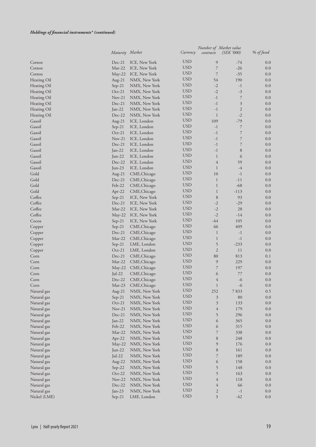#### *Holdings of financial instruments\* (continued)*

|              | Maturity Market |               | Currency   | contracts      | Number of Market value<br>(SEK '000) | % of fund |
|--------------|-----------------|---------------|------------|----------------|--------------------------------------|-----------|
| Cotton       | $Dec-21$        | ICE, New York | <b>USD</b> | 9              | -74                                  | 0.0       |
| Cotton       | Mar-22          | ICE, New York | <b>USD</b> | $\overline{7}$ | $-26$                                | 0.0       |
| Cotton       | $May-22$        | ICE, New York | <b>USD</b> | $\overline{7}$ | $-35$                                | 0.0       |
| Heating Oil  | Aug- $21$       | NMX, New York | <b>USD</b> | 54             | 190                                  | 0.0       |
| Heating Oil  | $Sep-21$        | NMX, New York | <b>USD</b> | $-2$           | $-1$                                 | 0.0       |
| Heating Oil  | $Oct-21$        | NMX, New York | <b>USD</b> | $-2$           | $-3$                                 | 0.0       |
| Heating Oil  | $Nov-21$        | NMX, New York | <b>USD</b> | $-1$           | 7                                    | 0.0       |
| Heating Oil  | $Dec-21$        | NMX, New York | <b>USD</b> | $-1$           | $\mathfrak{Z}$                       | 0.0       |
| Heating Oil  | $Jan-22$        | NMX, New York | <b>USD</b> | $-1$           | $\overline{2}$                       | 0.0       |
| Heating Oil  | Dec-22          | NMX, New York | <b>USD</b> | 1              | $-2$                                 | 0.0       |
| Gasoil       | $Aug-21$        | ICE, London   | <b>USD</b> | 109            | $-79$                                | 0.0       |
| Gasoil       | $Sep-21$        | ICE, London   | <b>USD</b> | $-1$           | 7                                    | 0.0       |
| Gasoil       | $Oct-21$        | ICE, London   | <b>USD</b> | $-1$           | 7                                    | 0.0       |
| Gasoil       | $Nov-21$        | ICE, London   | <b>USD</b> | $-1$           | $\overline{7}$                       | 0.0       |
| Gasoil       | Dec-21          | ICE, London   | <b>USD</b> | $-1$           | $\overline{7}$                       | 0.0       |
| Gasoil       | Jan-22          | ICE, London   | <b>USD</b> | $-1$           | 8                                    | 0.0       |
| Gasoil       | Jun-22          | ICE, London   | <b>USD</b> | $\mathbf{1}$   | 6                                    | 0.0       |
| Gasoil       | Dec-22          | ICE, London   | <b>USD</b> | $\overline{4}$ | 59                                   | 0.0       |
| Gasoil       | $Jun-23$        | ICE, London   | <b>USD</b> | $\mathbf{1}$   | $-4$                                 | 0.0       |
| Gold         | Aug-21          | CME, Chicago  | <b>USD</b> | 10             | $-1$                                 | 0.0       |
| Gold         | $Dec-21$        | CME, Chicago  | <b>USD</b> | $\mathbf{1}$   | $-11$                                | 0.0       |
| Gold         | Feb-22          | CME, Chicago  | <b>USD</b> | $\mathbf{1}$   | $-68$                                | 0.0       |
| Gold         | Apr-22          | CME, Chicago  | <b>USD</b> | $\mathbf{1}$   | $-113$                               | 0.0       |
| Coffee       | $Sep-21$        | ICE, New York | <b>USD</b> | $\,8\,$        | 93                                   | 0.0       |
| Coffee       | Dec-21          | ICE, New York | <b>USD</b> | $-2$           | $-29$                                | 0.0       |
| Coffee       | Mar-22          | ICE, New York | <b>USD</b> | $-2$           | 28                                   | 0.0       |
| Coffee       | May-22          | ICE, New York | <b>USD</b> | $-2$           | $-14$                                | 0.0       |
| Cocoa        | $Sep-21$        | ICE, New York | <b>USD</b> | $-44$          | 105                                  | 0.0       |
| Copper       | $Sep-21$        | CME, Chicago  | <b>USD</b> | 66             | 409                                  | 0.0       |
| Copper       | $Dec-21$        | CME, Chicago  | <b>USD</b> | $\mathbf{1}$   | $-1$                                 | 0.0       |
| Copper       | Mar-22          | CME, Chicago  | <b>USD</b> | $\mathbf 1$    | $-1$                                 | 0.0       |
| Copper       | $Sep-21$        | LME, London   | <b>USD</b> | 5              | $-233$                               | 0.0       |
| Copper       | $Oct-21$        | LME, London   | <b>USD</b> | $\overline{2}$ | 11                                   | 0.0       |
| Corn         | Dec-21          | CME, Chicago  | <b>USD</b> | 80             | 813                                  | 0.1       |
| Corn         | Mar-22          | CME, Chicago  | <b>USD</b> | $\mathfrak{g}$ | 229                                  | 0.0       |
| Corn         | May-22          | CME, Chicago  | <b>USD</b> | 7              | 197                                  | 0.0       |
| Corn         | $Jul-22$        | CME, Chicago  | <b>USD</b> | 6              | 77                                   | 0.0       |
| Corn         | $Dec-22$        | CME, Chicago  | <b>USD</b> | 4              | -6                                   | 0.0       |
| Corn         | Mar-23          | CME, Chicago  | <b>USD</b> | 1              | $-6$                                 | 0.0       |
| Natural gas  | Aug-21          | NMX, New York | <b>USD</b> | 252            | 7833                                 | 0.5       |
| Natural gas  | $Sep-21$        | NMX, New York | <b>USD</b> | $\mathfrak{Z}$ | 80                                   | 0.0       |
| Natural gas  | $Oct-21$        | NMX, New York | <b>USD</b> | $\mathfrak{Z}$ | 133                                  | 0.0       |
| Natural gas  | $Nov-21$        | NMX, New York | <b>USD</b> | 4              | 179                                  | 0.0       |
| Natural gas  | Dec-21          | NMX, New York | <b>USD</b> | 5              | 296                                  | 0.0       |
| Natural gas  | $Jan-22$        | NMX, New York | <b>USD</b> | 6              | 365                                  | 0.0       |
| Natural gas  | Feb-22          | NMX, New York | <b>USD</b> | 6              | 315                                  | 0.0       |
| Natural gas  | Mar-22          | NMX, New York | <b>USD</b> | 7              | 338                                  | 0.0       |
| Natural gas  | Apr-22          | NMX, New York | <b>USD</b> | $\,8$          | 248                                  | 0.0       |
| Natural gas  | May-22          | NMX, New York | <b>USD</b> | 9              | 176                                  | 0.0       |
| Natural gas  | Jun-22          | NMX, New York | <b>USD</b> | $\,8$          | 161                                  | 0.0       |
| Natural gas  | Jul-22          | NMX, New York | <b>USD</b> | 7              | 189                                  | 0.0       |
| Natural gas  | Aug-22          | NMX, New York | <b>USD</b> | 6              | 158                                  | 0.0       |
| Natural gas  | $Sep-22$        | NMX, New York | <b>USD</b> | 5              | 148                                  | 0.0       |
| Natural gas  | Oct-22          | NMX, New York | <b>USD</b> | 5              | 163                                  | 0.0       |
| Natural gas  | $Nov-22$        | NMX, New York | <b>USD</b> | 4              | 118                                  | 0.0       |
| Natural gas  | Dec-22          | NMX, New York | <b>USD</b> | 4              | 66                                   | 0.0       |
| Natural gas  | Jan-23          | NMX, New York | <b>USD</b> | $\overline{c}$ | $-1$                                 | 0.0       |
| Nickel (LME) | $Sep-21$        | LME, London   | <b>USD</b> | $\mathfrak{Z}$ | $-42$                                | $0.0\,$   |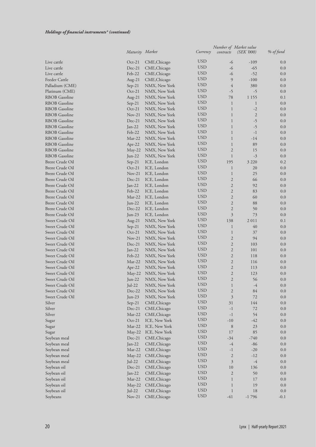#### *Holdings of financial instruments\* (continued)*

|                              | Maturity Market    |                               | Currency                 | contracts           | Number of Market value<br><i>(SEK '000)</i> | % of fund  |
|------------------------------|--------------------|-------------------------------|--------------------------|---------------------|---------------------------------------------|------------|
| Live cattle                  | $Oct-21$           | CME, Chicago                  | <b>USD</b>               | $-6$                | $-109$                                      | 0.0        |
| Live cattle                  | Dec-21             | CME, Chicago                  | <b>USD</b>               | $-6$                | $-65$                                       | 0.0        |
| Live cattle                  | Feb-22             | CME, Chicago                  | <b>USD</b>               | $-6$                | $-52$                                       | 0.0        |
| Feeder Cattle                | Aug-21             | CME, Chicago                  | <b>USD</b>               | 9                   | $-100$                                      | 0.0        |
| Palladium (CME)              | $Sep-21$           | NMX, New York                 | <b>USD</b>               | $\overline{4}$      | 380                                         | 0.0        |
| Platinum (CME)               | $Oct-21$           | NMX, New York                 | <b>USD</b>               | $-5$                | $-5$                                        | 0.0        |
| <b>RBOB</b> Gasoline         | Aug- $21$          | NMX, New York                 | <b>USD</b>               | 78                  | 1 1 5 5                                     | 0.1        |
| <b>RBOB</b> Gasoline         | $Sep-21$           | NMX, New York                 | <b>USD</b>               | $\mathbf{1}$        | $\mathbf{1}$                                | 0.0        |
| <b>RBOB</b> Gasoline         | $Oct-21$           | NMX, New York                 | <b>USD</b>               | $\mathbf{1}$        | $-2$                                        | 0.0        |
| RBOB Gasoline                | $Nov-21$           | NMX, New York                 | <b>USD</b>               | $\mathbf{1}$        | $\sqrt{2}$                                  | 0.0        |
| <b>RBOB</b> Gasoline         | $Dec-21$           | NMX, New York                 | <b>USD</b>               | $\mathbf{1}$        | $-5$                                        | 0.0        |
| <b>RBOB</b> Gasoline         | $Jan-22$           | NMX, New York                 | <b>USD</b>               | $\mathbf{1}$        | $-5$                                        | 0.0        |
| <b>RBOB</b> Gasoline         | Feb-22             | NMX, New York                 | <b>USD</b>               | $\mathbf{1}$        | $-1$                                        | 0.0        |
| <b>RBOB</b> Gasoline         | Mar-22             | NMX, New York                 | <b>USD</b>               | $\mathbf{1}$        | $-14$                                       | 0.0        |
| <b>RBOB</b> Gasoline         | $Apr-22$           | NMX, New York                 | <b>USD</b>               | $\mathbf{1}$        | 89                                          | 0.0        |
| <b>RBOB</b> Gasoline         | May-22             | NMX, New York                 | <b>USD</b>               | $\overline{2}$      | 15                                          | 0.0        |
| <b>RBOB</b> Gasoline         | Jun-22             | NMX, New York                 | <b>USD</b>               | $\mathbf{1}$        | $-3$                                        | 0.0        |
| <b>Brent Crude Oil</b>       | $Sep-21$           | ICE, London                   | <b>USD</b>               | 195                 | 3 2 2 0                                     | 0.2        |
| <b>Brent Crude Oil</b>       | $Oct-21$           | ICE, London                   | <b>USD</b>               | $\mathbf{1}$        | 20                                          | 0.0        |
| <b>Brent Crude Oil</b>       | $Nov-21$           | ICE, London                   | <b>USD</b>               | $\mathbf{1}$        | 25                                          | 0.0        |
| <b>Brent Crude Oil</b>       | $Dec-21$           | ICE, London                   | <b>USD</b>               | $\overline{2}$      | 66                                          | 0.0        |
| <b>Brent Crude Oil</b>       | Jan-22             | ICE, London                   | <b>USD</b>               | $\overline{2}$      | 92                                          | 0.0        |
| <b>Brent Crude Oil</b>       | Feb-22             | ICE, London                   | <b>USD</b>               | $\overline{2}$      | 83                                          | 0.0        |
| <b>Brent Crude Oil</b>       | Mar-22             | ICE, London                   | <b>USD</b>               | $\overline{2}$      | 60                                          | 0.0        |
| <b>Brent Crude Oil</b>       | $Jun-22$           | ICE, London                   | <b>USD</b>               | $\overline{2}$      | 88                                          | 0.0        |
| <b>Brent Crude Oil</b>       | $Dec-22$           | ICE, London                   | <b>USD</b>               | $\overline{2}$      | 50                                          | 0.0        |
| <b>Brent Crude Oil</b>       | Jun-23             | ICE, London                   | <b>USD</b>               | 3                   | 73                                          | 0.0        |
| Sweet Crude Oil              | Aug- $21$          | NMX, New York                 | <b>USD</b>               | 138                 | 2011                                        | 0.1        |
| Sweet Crude Oil              | $Sep-21$           | NMX, New York                 | <b>USD</b>               | $\mathbf{1}$        | 40                                          | 0.0        |
| Sweet Crude Oil              | $Oct-21$           | NMX, New York                 | <b>USD</b>               | $\mathbf{1}$        | 37                                          | 0.0        |
| Sweet Crude Oil              | $Nov-21$           | NMX, New York                 | <b>USD</b>               | $\sqrt{2}$          | 94                                          | 0.0        |
| Sweet Crude Oil              | $Dec-21$           | NMX, New York                 | <b>USD</b>               | $\mathfrak{2}$      | 103                                         | 0.0        |
| Sweet Crude Oil              | $Jan-22$           | NMX, New York                 | <b>USD</b>               | $\sqrt{2}$          | 101                                         | 0.0        |
| Sweet Crude Oil              | Feb-22             | NMX, New York                 | <b>USD</b>               | $\sqrt{2}$          | 118                                         | 0.0        |
| Sweet Crude Oil              | $Mar-22$           | NMX, New York                 | <b>USD</b>               | $\overline{2}$      | 116                                         | 0.0        |
| Sweet Crude Oil              | Apr-22             | NMX, New York                 | <b>USD</b>               | $\overline{2}$      | 113                                         | 0.0        |
| Sweet Crude Oil              | May-22             | NMX, New York                 | <b>USD</b>               | $\overline{2}$      | 123                                         | 0.0        |
| Sweet Crude Oil              | Jun-22             | NMX, New York                 | <b>USD</b>               | $\overline{2}$      | 56                                          | 0.0        |
| Sweet Crude Oil              | Jul-22             | NMX, New York                 | <b>USD</b>               | 1                   | $-4$                                        | 0.0        |
| Sweet Crude Oil              | Dec-22             | NMX, New York                 | <b>USD</b><br><b>USD</b> | $\sqrt{2}$          | 84                                          | 0.0        |
| Sweet Crude Oil              | $Jun-23$           | NMX, New York                 | <b>USD</b>               | 3                   | $72\,$                                      | 0.0        |
| Silver                       | $Sep-21$           | CME, Chicago                  | <b>USD</b>               | 31                  | 144                                         | 0.0        |
| Silver                       | Dec-21             | CME, Chicago                  | <b>USD</b>               | $^{\rm -1}$<br>$-1$ | 72                                          | 0.0        |
| Silver                       | Mar-22             | CME, Chicago                  | <b>USD</b>               |                     | 54                                          | 0.0        |
| Sugar                        | $Oct-21$<br>Mar-22 | ICE, New York                 | <b>USD</b>               | $-10$<br>$\,8\,$    | $-42$<br>23                                 | 0.0<br>0.0 |
| Sugar                        | $May-22$           | ICE, New York                 | <b>USD</b>               | 17                  | 85                                          | 0.0        |
| Sugar<br>Soybean meal        | $Dec-21$           | ICE, New York<br>CME, Chicago | <b>USD</b>               | $-34$               | $-740$                                      | 0.0        |
|                              | Jan-22             | CME, Chicago                  | <b>USD</b>               | $-4$                | $-86$                                       | 0.0        |
| Soybean meal<br>Soybean meal | Mar-22             | CME, Chicago                  | <b>USD</b>               | $^{\rm -1}$         | $-20$                                       | 0.0        |
| Soybean meal                 | May-22             | CME, Chicago                  | <b>USD</b>               | $\mathfrak{2}$      | $-12$                                       | 0.0        |
| Soybean meal                 | Jul-22             | CME, Chicago                  | <b>USD</b>               | $\mathfrak{Z}$      | $-4$                                        | 0.0        |
| Soybean oil                  | $Dec-21$           | CME, Chicago                  | <b>USD</b>               | $10\,$              | 136                                         | 0.0        |
| Soybean oil                  | Jan-22             | CME, Chicago                  | <b>USD</b>               | $\mathfrak{2}$      | 50                                          | 0.0        |
| Soybean oil                  | Mar-22             | CME, Chicago                  | <b>USD</b>               | $\mathbf{1}$        | 17                                          | 0.0        |
| Soybean oil                  | May-22             | CME, Chicago                  | <b>USD</b>               | $\mathbf{1}$        | 19                                          | 0.0        |
| Soybean oil                  | $Jul-22$           | CME, Chicago                  | <b>USD</b>               | $\mathbf{1}$        | 18                                          | 0.0        |
| Soybeans                     | $Nov-21$           | CME, Chicago                  | <b>USD</b>               | $-41$               | $-1796$                                     | $-0.1$     |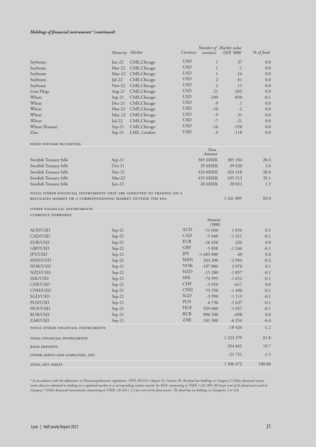#### *Holdings of financial instruments\* (continued)*

|                                                                                                                                    | Maturity Market |              | Currency   | contracts        | Number of Market value<br><i>(SEK'000)</i> | % of fund |
|------------------------------------------------------------------------------------------------------------------------------------|-----------------|--------------|------------|------------------|--------------------------------------------|-----------|
| Soybeans                                                                                                                           | Jan-22          | CME, Chicago | <b>USD</b> | $\mathbf{1}$     | 37                                         | 0.0       |
| Soybeans                                                                                                                           | Mar-22          | CME, Chicago | <b>USD</b> | $\mathbf{1}$     | $-1$                                       | 0.0       |
| Soybeans                                                                                                                           | May-22          | CME, Chicago | <b>USD</b> | $\mathbf{1}$     | $-16$                                      | 0.0       |
| Soybeans                                                                                                                           | Jul-22          | CME, Chicago | <b>USD</b> | $\overline{2}$   | $-41$                                      | 0.0       |
| Soybeans                                                                                                                           | $Nov-22$        | CME, Chicago | <b>USD</b> | $\overline{2}$   | 11                                         | 0.0       |
| Lean Hogs                                                                                                                          | Aug- $21$       | CME, Chicago | <b>USD</b> | 21               | $-203$                                     | 0.0       |
| Wheat                                                                                                                              | $Sep-21$        | CME, Chicago | <b>USD</b> | $-100$           | $-850$                                     | $-0.1$    |
| Wheat                                                                                                                              | $Dec-21$        | CME, Chicago | <b>USD</b> | $-9$             | $\mathbf{1}$                               | 0.0       |
| Wheat                                                                                                                              | $Mar-22$        | CME, Chicago | <b>USD</b> | $-10$            | $-2$                                       | 0.0       |
| Wheat                                                                                                                              | $May-22$        | CME, Chicago | <b>USD</b> | $-9$             | 31                                         | 0.0       |
| Wheat                                                                                                                              | Jul-22          | CME, Chicago | <b>USD</b> | $-7$             | $-21$                                      | 0.0       |
| Wheat (Kansas)                                                                                                                     | $Sep-21$        | CME, Chicago | <b>USD</b> | $-16$            | $-358$                                     | 0.0       |
| Zinc                                                                                                                               | $Sep-21$        | LME, London  | <b>USD</b> | $-4$             | $-118$                                     | 0.0       |
| FIXED INCOME SECURITIES                                                                                                            |                 |              |            |                  |                                            |           |
|                                                                                                                                    |                 |              |            | Nom.<br>Amount   |                                            |           |
| Swedish Treasury bills                                                                                                             | $Sep-21$        |              |            | <b>305 MSEK</b>  | 305 104                                    | 20.4      |
| Swedish Treasury bills                                                                                                             | $Oct-21$        |              |            | 39 MSEK          | 39 0 20                                    | 2.6       |
| Swedish Treasury bills                                                                                                             | $Dec-21$        |              |            | 424 MSEK         | 424 318                                    | 28.4      |
| Swedish Treasury bills                                                                                                             | Mar-22          |              |            | 435 MSEK         | 435 513                                    | 29.1      |
| Swedish Treasury bills                                                                                                             | Jun-22          |              |            | 20 MSEK          | 20 032                                     | 1.3       |
| TOTAL OTHER FINANCIAL INSTRUMENTS THAT ARE ADMITTED TO TRADING ON A<br>REGULATES MARKET OR A CORRESPONDNING MARKET OUTSIDE THE EEA |                 |              |            |                  | 1 241 805                                  | 83.0      |
| OTHER FINANCIAL INSTRUMENTS<br><b>CURRENCY FORWARDS</b>                                                                            |                 |              |            |                  |                                            |           |
|                                                                                                                                    |                 |              |            | Amount<br>('000) |                                            |           |
| AUD/USD                                                                                                                            | $Sep-21$        |              | <b>AUD</b> | $-11640$         | 1654                                       | 0.1       |
| CAD/USD                                                                                                                            | $Sep-21$        |              | CAD        | $-5040$          | $-1211$                                    | $-0.1$    |
| EUR/USD                                                                                                                            | $Sep-21$        |              | <b>EUR</b> | $-16450$         | 220                                        | 0.0       |
| GBP/USD                                                                                                                            | $Sep-21$        |              | GBP        | $-5838$          | $-1246$                                    | $-0.1$    |
| JPY/USD                                                                                                                            | $Sep-21$        |              | JPY        | $-1685000$       | 60                                         | 0.0       |
| MXN/USD                                                                                                                            | $Sep-21$        |              | <b>MXN</b> | 333 200          | $-2994$                                    | $-0.2$    |
| NOK/USD                                                                                                                            | $Sep-21$        |              | <b>NOK</b> | $-107800$        | 2 0 7 0                                    | 0.1       |
| NZD/USD                                                                                                                            | $Sep-21$        |              | <b>NZD</b> | $-15280$         | $-1857$                                    | $-0.1$    |
| SEK/USD                                                                                                                            | $Sep-21$        |              | <b>SEK</b> | -74 995          | $-1652$                                    | $-0.1$    |
| CHF/USD                                                                                                                            | $Sep-21$        |              | CHF        | $-3950$          | $-617$                                     | $0.0\,$   |
| CNH/USD                                                                                                                            | $Sep-21$        |              | <b>CNH</b> | 55 550           | $-1496$                                    | $-0.1$    |
| SGD/USD                                                                                                                            | $Sep-21$        |              | $\rm SGD$  | $-3990$          | $-1113$                                    | $-0.1$    |
| PLN/USD                                                                                                                            | $Sep-21$        |              | $\rm{PLN}$ | 6730             | $-1637$                                    | $-0.1$    |
| HUF/USD                                                                                                                            | $Sep-21$        |              | <b>HUF</b> | 929 000          | $-1657$                                    | $-0.1$    |
| RUB/USD                                                                                                                            | $Sep-21$        |              | <b>RUB</b> | 896 500          | $-698$                                     | $0.0\,$   |
| ZAR/USD                                                                                                                            | $Sep-21$        |              | ZAR        | 181 500          | $-6254$                                    | $-0.4$    |
| TOTAL OTHER FINANCIAL INSTRUMENTS                                                                                                  |                 |              |            |                  | $-18426$                                   | $-1.2$    |
| TOTAL FINANCIAL INSTRUMENTS                                                                                                        |                 |              |            |                  | 1 223 379                                  | 81.8      |
| <b>BANK DEPOSITS</b>                                                                                                               |                 |              |            |                  | 294 845                                    | 19.7      |
| OTHER ASSETS AND LIABILITIES, NET                                                                                                  |                 |              |            |                  | $-21751$                                   | $-1.5$    |
| TOTAL NET ASSETS                                                                                                                   |                 |              |            |                  | 1 496 473                                  | 100.00    |

*\* In accordance with the definitions in Finansinspektionen's regulations, FFFS 2013:9, Chapter 31, Section 29, the fund has holdings in Category 2 (Other financial instruments that are admitted to trading on a regulated market or a corresponding market outside the EEA) amounting to TSEK 1 241 805 (83.0 per cent of the fund assets) and in Category 7 (Other financial instruments) amounting to TSEK -18 426 (-1.2 per cent of the fund assets). The fund has no holdings in Categories 1 or 3-6.*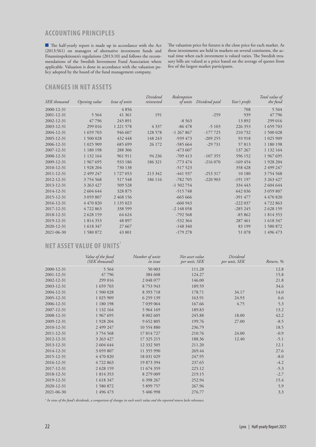### **ACCOUNTING PRINCIPLES**

 The half-yearly report is made up in accordance with the Act (2013:561) on managers of alternative investment funds and Finansinspektionen's regulations (2013:10) and follows the recommendations of the Swedish Investment Fund Association where applicable. Valuation is done in accordance with the valuation policy adopted by the board of the fund management company.

The valuation price for futures is the close price for each market. As these investments are held in markets on several continents, the actual time when each investment is valued varies. The Swedish treasury bills are valued at a price based on the average of quotes from five of the largest market participants.

### **CHANGES IN NET ASSETS**

| SEK thousand | Opening value | Issue of units | Dividend<br>reinvested | Redemption<br>of units | Dividend paid | Year's profit | Total value of<br>the fund |
|--------------|---------------|----------------|------------------------|------------------------|---------------|---------------|----------------------------|
| 2000-12-31   |               | 4856           |                        |                        |               | 708           | 5 5 6 4                    |
| 2001-12-31   | 5 5 6 4       | 41 361         | 191                    |                        | $-259$        | 939           | 47796                      |
| 2002-12-31   | 47796         | 245 891        |                        | $-8563$                |               | 13892         | 299 016                    |
| 2003-12-31   | 299 016       | 1 221 578      | 4 3 3 7                | $-86478$               | $-5103$       | 226 353       | 1 659 703                  |
| 2004-12-31   | 1 659 703     | 946 607        | 128 578                | $-1267867$             | $-177725$     | 210732        | 1 500 028                  |
| 2005-12-31   | 1 500 028     | 432 448        | 148 243                | $-939473$              | $-209255$     | 93 918        | 1 025 909                  |
| 2006-12-31   | 1 025 909     | 685 699        | 26 172                 | $-585664$              | $-29731$      | 57813         | 1 180 198                  |
| 2007-12-31   | 1 180 198     | 288 306        |                        | $-473607$              |               | 137 267       | 1 132 164                  |
| 2008-12-31   | 1 132 164     | 961 911        | 94 236                 | $-709413$              | $-107355$     | 596 152       | 1 967 695                  |
| 2009-12-31   | 1 967 695     | 933 186        | 186 321                | $-773474$              | $-216070$     | $-169454$     | 1 928 204                  |
| 2010-12-31   | 1 928 204     | 730 138        |                        | $-517523$              |               | 358 428       | 2 499 247                  |
| 2011-12-31   | 2 499 247     | 1727053        | 213 342                | -441 937               | $-253317$     | 10 180        | 3754568                    |
| 2012-12-31   | 3754568       | 517 548        | 186 116                | $-782705$              | $-220903$     | $-191$ 197    | 3 263 427                  |
| 2013-12-31   | 3 263 427     | 509 528        |                        | $-1502754$             |               | 334 443       | 2 604 644                  |
| 2014-12-31   | 2 604 644     | 328 875        |                        | $-515748$              |               | 642 036       | 3 059 807                  |
| 2015-12-31   | 3 059 807     | 2 468 156      |                        | $-66566$               |               | $-391477$     | 4 470 820                  |
| 2016-12-31   | 4 470 820     | 1 135 023      |                        | $-660943$              |               | $-222037$     | 4722863                    |
| 2017-12-31   | 4722863       | 338 599        |                        | $-2$ 148 058           |               | $-285245$     | 2 628 159                  |
| 2018-12-31   | 2 628 159     | 64 624         |                        | $-792568$              |               | $-85862$      | 1 814 353                  |
| 2019-12-31   | 1 814 353     | 48 897         |                        | $-532364$              |               | 287 461       | 1 618 347                  |
| 2020-12-31   | 1 618 347     | 27 667         |                        | $-148340$              |               | 83 199        | 1 580 872                  |
| 2021-06-30   | 1580872       | 43 801         |                        | $-179278$              |               | 51 078        | 1 496 473                  |

# **NET ASSET VALUE OF UNITS'**

|            | Value of the fund<br>(SEK thousand) | Number of units<br>in issue | Net asset value<br>per unit, SEK | Dividend<br>per unit, SEK | Return, % |
|------------|-------------------------------------|-----------------------------|----------------------------------|---------------------------|-----------|
| 2000-12-31 | 5 5 6 4                             | 50 003                      | 111.28                           |                           | 12.8      |
| 2001-12-31 | 47796                               | 384 608                     | 124.27                           |                           | 15.8      |
| 2002-12-31 | 299 016                             | 2 048 077                   | 146.00                           |                           | 21.8      |
| 2003-12-31 | 1 659 703                           | 8753943                     | 189.59                           |                           | 34.6      |
| 2004-12-31 | 1 500 028                           | 8 393 718                   | 178.71                           | 34.17                     | 14.0      |
| 2005-12-31 | 1 025 909                           | 6 259 139                   | 163.91                           | 24.93                     | 6.6       |
| 2006-12-31 | 1 180 198                           | 7 039 064                   | 167.66                           | 4.75                      | 5.3       |
| 2007-12-31 | 1 132 164                           | 5 9 6 4 1 6 9               | 189.83                           |                           | 13.2      |
| 2008-12-31 | 1 967 695                           | 8 002 605                   | 245.88                           | 18.00                     | 42.2      |
| 2009-12-31 | 1 928 204                           | 9 652 805                   | 199.76                           | 27.00                     | $-8.5$    |
| 2010-12-31 | 2 499 247                           | 10 554 880                  | 236.79                           |                           | 18.5      |
| 2011-12-31 | 3754568                             | 17814727                    | 210.76                           | 24.00                     | $-0.9$    |
| 2012-12-31 | 3 263 427                           | 17 325 215                  | 188.36                           | 12.40                     | $-5.1$    |
| 2013-12-31 | 2 604 644                           | 12 332 505                  | 211.20                           |                           | 12.1      |
| 2014-12-31 | 3 059 807                           | 11 355 990                  | 269.44                           |                           | 27.6      |
| 2015-12-31 | 4 470 820                           | 18 031 029                  | 247.95                           |                           | $-8.0$    |
| 2016-12-31 | 4722863                             | 19 873 394                  | 237.65                           |                           | $-4.2$    |
| 2017-12-31 | 2 628 159                           | 11 674 359                  | 225.12                           |                           | $-5.3$    |
| 2018-12-31 | 1 814 353                           | 8 279 009                   | 219.15                           |                           | $-2.7$    |
| 2019-12-31 | 1 618 347                           | 6 398 267                   | 252.94                           |                           | 15.4      |
| 2020-12-31 | 1 580 872                           | 5 899 757                   | 267.96                           |                           | 5.9       |
| 2021-06-30 | 1 496 473                           | 5 406 998                   | 276.77                           |                           | 3.3       |

*1 In view of the fund's dividends, a comparison of changes in each unit's value and the reported return lacks relevance.*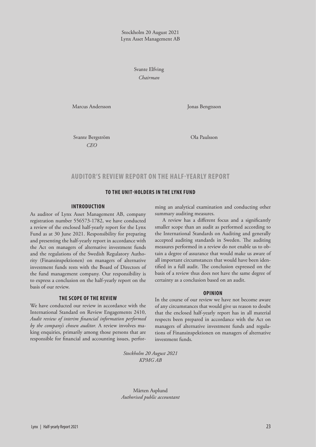Stockholm 20 August 2021 Lynx Asset Management AB

> Svante Elfving  *Chairman*

Marcus Andersson Jonas Bengtsson

Svante Bergström Ola Paulsson *CEO*

#### **AUDITOR'S REVIEW REPORT ON THE HALF-YEARLY REPORT**

#### **TO THE UNIT-HOLDERS IN THE LYNX FUND**

#### **INTRODUCTION**

As auditor of Lynx Asset Management AB, company registration number 556573-1782, we have conducted a review of the enclosed half-yearly report for the Lynx Fund as at 30 June 2021. Responsibility for preparing and presenting the half-yearly report in accordance with the Act on managers of alternative investment funds and the regulations of the Swedish Regulatory Authority (Finansinspektionen) on managers of alternative investment funds rests with the Board of Directors of the fund management company. Our responsibility is to express a conclusion on the half-yearly report on the basis of our review.

#### **THE SCOPE OF THE REVIEW**

We have conducted our review in accordance with the International Standard on Review Engagements 2410, *Audit review of interim financial information performed by the company's chosen auditor.* A review involves making enquiries, primarily among those persons that are responsible for financial and accounting issues, performing an analytical examination and conducting other summary auditing measures.

A review has a different focus and a significantly smaller scope than an audit as performed according to the International Standards on Auditing and generally accepted auditing standards in Sweden. The auditing measures performed in a review do not enable us to obtain a degree of assurance that would make us aware of all important circumstances that would have been identified in a full audit. The conclusion expressed on the basis of a review thus does not have the same degree of certainty as a conclusion based on an audit.

#### **OPINION**

In the course of our review we have not become aware of any circumstances that would give us reason to doubt that the enclosed half-yearly report has in all material respects been prepared in accordance with the Act on managers of alternative investment funds and regulations of Finansinspektionen on managers of alternative investment funds.

*Stockholm 20 August 2021 KPMG AB*

Mårten Asplund *Authorised public accountant*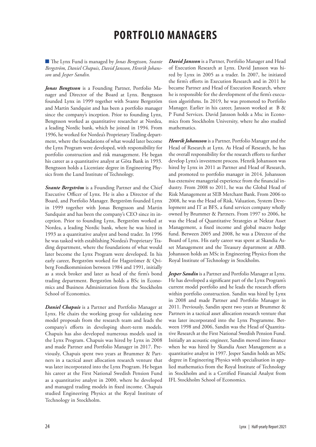# **PORTFOLIO MANAGERS**

 The Lynx Fund is managed by *Jonas Bengtsson, Svante Bergström, Daniel Chapuis, David Jansson, Henrik Johansson* and *Jesper Sandin.* 

*Jonas Bengtsson* is a Founding Partner, Portfolio Manager and Director of the Board at Lynx. Bengtsson founded Lynx in 1999 together with Svante Bergström and Martin Sandquist and has been a portfolio manager since the company's inception. Prior to founding Lynx, Bengtsson worked as quantitative researcher at Nordea, a leading Nordic bank, which he joined in 1994. From 1996, he worked for Nordea's Proprietary Trading department, where the foundations of what would later become the Lynx Program were developed, with responsibility for portfolio construction and risk management. He began his career as a quantitative analyst at Göta Bank in 1993. Bengtsson holds a Licentiate degree in Engineering Physics from the Lund Institute of Technology.

*Svante Bergström* is a Founding Partner and the Chief Executive Officer of Lynx. He is also a Director of the Board, and Portfolio Manager. Bergström founded Lynx in 1999 together with Jonas Bengtsson and Martin Sandquist and has been the company's CEO since its inception. Prior to founding Lynx, Bergström worked at Nordea, a leading Nordic bank, where he was hired in 1993 as a quantitative analyst and bond trader. In 1996 he was tasked with establishing Nordea's Proprietary Trading department, where the foundations of what would later become the Lynx Program were developed. In his early career, Bergström worked for Hagströmer & Qviberg Fondkommission between 1984 and 1991, initially as a stock broker and later as head of the firm's bond trading department. Bergström holds a BSc in Economics and Business Administration from the Stockholm School of Economics.

*Daniel Chapuis* is a Partner and Portfolio Manager at Lynx. He chairs the working group for validating new model proposals from the research team and leads the company's efforts in developing short-term models. Chapuis has also developed numerous models used in the Lynx Program. Chapuis was hired by Lynx in 2008 and made Partner and Portfolio Manager in 2017. Previously, Chapuis spent two years at Brummer & Partners in a tactical asset allocation research venture that was later incorporated into the Lynx Program. He began his career at the First National Swedish Pension Fund as a quantitative analyst in 2000, where he developed and managed trading models in fixed income. Chapuis studied Engineering Physics at the Royal Institute of Technology in Stockholm.

*David Jansson* is a Partner, Portfolio Manager and Head of Execution Research at Lynx. David Jansson was hired by Lynx in 2005 as a trader. In 2007, he initiated the firm's efforts in Execution Research and in 2011 he became Partner and Head of Execution Research, where he is responsible for the development of the firm's execution algorithms. In 2019, he was promoted to Portfolio Manager. Earlier in his career, Jansson worked at B & P Fund Services. David Jansson holds a Msc in Economics from Stockholm University, where he also studied mathematics.

*Henrik Johansson* is a Partner, Portfolio Manager and the Head of Research at Lynx. As Head of Research, he has the overall responsibility for the research efforts to further develop Lynx's investment process. Henrik Johansson was hired by Lynx in 2011 as Partner and Head of Research, and promoted to portfolio manager in 2014. Johansson has extensive managerial experience from the financial industry. From 2008 to 2011, he was the Global Head of Risk Management at SEB Merchant Bank. From 2006 to 2008, he was the Head of Risk, Valuation, System Development and IT at BFS, a fund services company wholly owned by Brummer & Partners. From 1997 to 2006, he was the Head of Quantitative Strategies at Nektar Asset Management, a fixed income and global macro hedge fund. Between 2005 and 2008, he was a Director of the Board of Lynx. His early career was spent at Skandia Asset Management and the Treasury department at ABB. Johansson holds an MSc in Engineering Physics from the Royal Institute of Technology in Stockholm.

*Jesper Sandin* is a Partner and Portfolio Manager at Lynx. He has developed a significant part of the Lynx Program's current model portfolio and he leads the research efforts within portfolio construction. Sandin was hired by Lynx in 2008 and made Partner and Portfolio Manager in 2011. Previously, Sandin spent two years at Brummer & Partners in a tactical asset allocation research venture that was later incorporated into the Lynx Programme. Between 1998 and 2006, Sandin was the Head of Quantitative Research at the First National Swedish Pension Fund. Initially an acoustic engineer, Sandin moved into finance when he was hired by Skandia Asset Management as a quantitative analyst in 1997. Jesper Sandin holds an MSc degree in Engineering Physics with specialisation in applied mathematics from the Royal Institute of Technology in Stockholm and is a Certified Financial Analyst from IFL Stockholm School of Economics.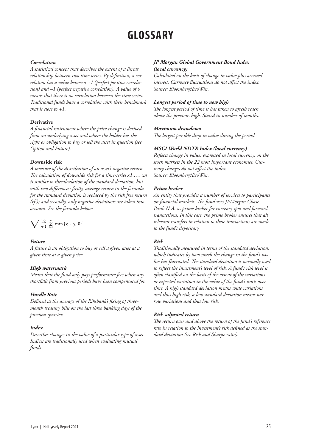# **GLOSSARY**

#### *Correlation*

*A statistical concept that describes the extent of a linear relationship between two time series. By definition, a correlation has a value between +1 (perfect positive correlation) and –1 (perfect negative correlation). A value of 0 means that there is no correlation between the time series. Traditional funds have a correlation with their benchmark that is close to +1.*

#### **Derivative**

*A financial instrument where the price change is derived from an underlying asset and where the holder has the right or obligation to buy or sell the asset in question (see Option and Future).*

#### **Downside risk**

*A measure of the distribution of an asset's negative return. The calculation of downside risk for a time-series x1,…, xn is similar to thecalculation of the standard deviation, but with two differences: firstly, average return in the formula for the standard deviation is replaced by the risk free return (rf ); and secondly, only negative deviations are taken into account. See the formula below:*

$$
\sqrt{\frac{12}{n-1}\sum_{i=1}^n\min\left\{x_i-r_f,0\right\}^2}
$$

#### *Future*

*A future is an obligation to buy or sell a given asset at a given time at a given price.*

#### *High watermark*

*Means that the fund only pays performance fees when any shortfalls from previous periods have been compensated for.*

#### *Hurdle Rate*

*Defined as the average of the Riksbank's fixing of threemonth treasury bills on the last three banking days of the previous quarter.*

#### *Index*

*Describes changes in the value of a particular type of asset. Indices are traditionally used when evaluating mutual funds.*

#### *JP Morgan Global Government Bond Index (local currency)*

*Calculated on the basis of change in value plus accrued interest. Currency fluctuations do not affect the index. Source: Bloomberg/EcoWin.*

#### *Longest period of time to new high*

*The longest period of time it has taken to afresh reach above the previous high. Stated in number of months.*

#### *Maximum drawdown*

*The largest possible drop in value during the period.*

#### *MSCI World NDTR Index (local currency)*

*Reflects change in value, expressed in local currency, on the stock markets in the 22 most important economies. Currency changes do not affect the index. Source: Bloomberg/EcoWin.*

#### *Prime broker*

*An entity that provides a number of services to participants on financial markets. The fund uses JPMorgan Chase Bank N.A. as prime broker for currency spot and forward transactions. In this case, the prime broker ensures that all relevant transfers in relation to these transactions are made to the fund's depositary.*

#### *Risk*

*Traditionally measured in terms of the standard deviation, which indicates by how much the change in the fund's value has fluctuated. The standard deviation is normally used to reflect the investment's level of risk. A fund's risk level is often classified on the basis of the extent of the variations or expected variation in the value of the fund's units over time. A high standard deviation means wide variations and thus high risk, a low standard deviation means narrow variations and thus low risk.*

#### *Risk-adjusted return*

*The return over and above the return of the fund's reference rate in relation to the investment's risk defined as the standard deviation (see Risk and Sharpe ratio).*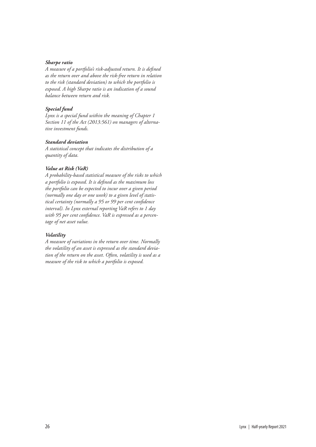#### *Sharpe ratio*

*A measure of a portfolio's risk-adjusted return. It is defined as the return over and above the risk-free return in relation to the risk (standard deviation) to which the portfolio is exposed. A high Sharpe ratio is an indication of a sound balance between return and risk.*

#### *Special fund*

*Lynx is a special fund within the meaning of Chapter 1 Section 11 of the Act (2013:561) on managers of alternative investment funds.* 

#### *Standard deviation*

*A statistical concept that indicates the distribution of a quantity of data.* 

#### *Value at Risk (VaR)*

*A probability-based statistical measure of the risks to which a portfolio is exposed. It is defined as the maximum loss the portfolio can be expected to incur over a given period (normally one day or one week) to a given level of statistical certainty (normally a 95 or 99 per cent confidence interval). In Lynx external reporting VaR refers to 1 day with 95 per cent confidence. VaR is expressed as a percentage of net asset value.*

#### *Volatility*

*A measure of variations in the return over time. Normally the volatility of an asset is expressed as the standard deviation of the return on the asset. Often, volatility is used as a measure of the risk to which a portfolio is exposed.*